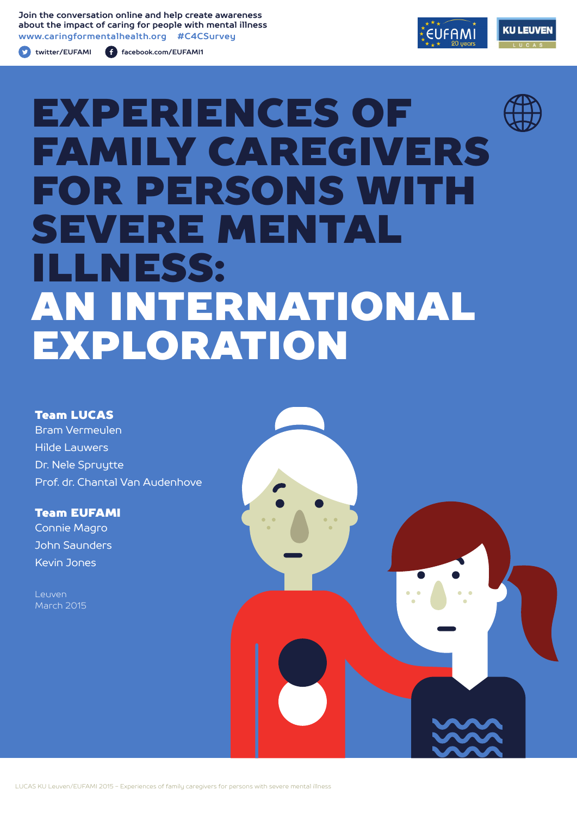**Join the conversation online and help create awareness about the impact of caring for people with mental illness www.caringformentalhealth.org #C4CSurvey**

**twitter/EUFAMI facebook.com/EUFAMI1**





# EXPERIENCES OF FAMILY CAREGIVERS FOR PERSONS WITH SEVERE MENTAL ILLNESS: AN INTERNATIONAL EXPLORATION

### Team LUCAS

Bram Vermeulen Hilde Lauwers Dr. Nele Spruytte Prof. dr. Chantal Van Audenhove

Team EUFAMI Connie Magro John Saunders Kevin Jones

Leuven March 2015

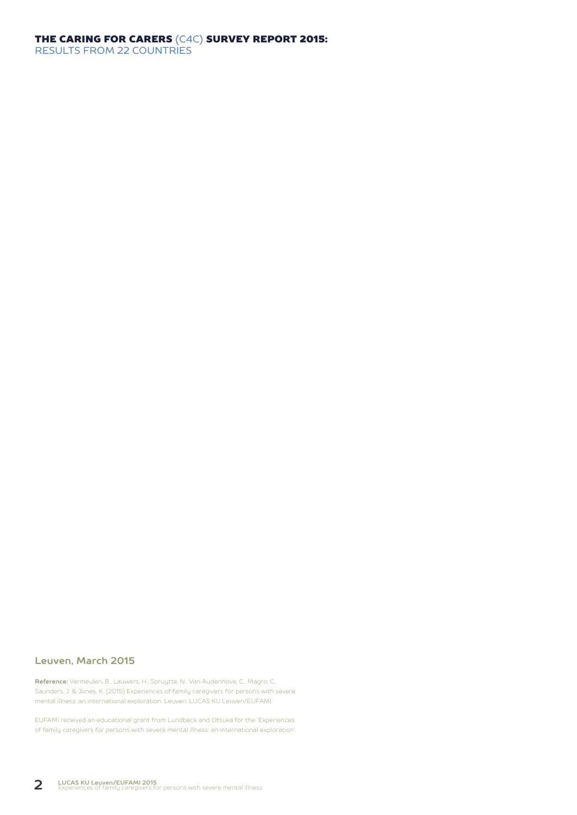#### THE CARING FOR CARERS (C4C) SURVEY REPORT 2015: RESULTS FROM 22 COUNTRIES

#### **Leuven, March 2015**

**Reference:** Vermeulen, B., Lauwers, H., Spruytte, N., Van Audenhove, C., Magro, C, Saunders, J. & Jones, K. (2015) Experiences of family caregivers for persons with severe mental illness: an international exploration. Leuven: LUCAS KU Leuven/EUFAMI.

EUFAMI received an educational grant from Lundbeck and Otsuka for the 'Experiences of family caregivers for persons with severe mental illness: an international exploration'.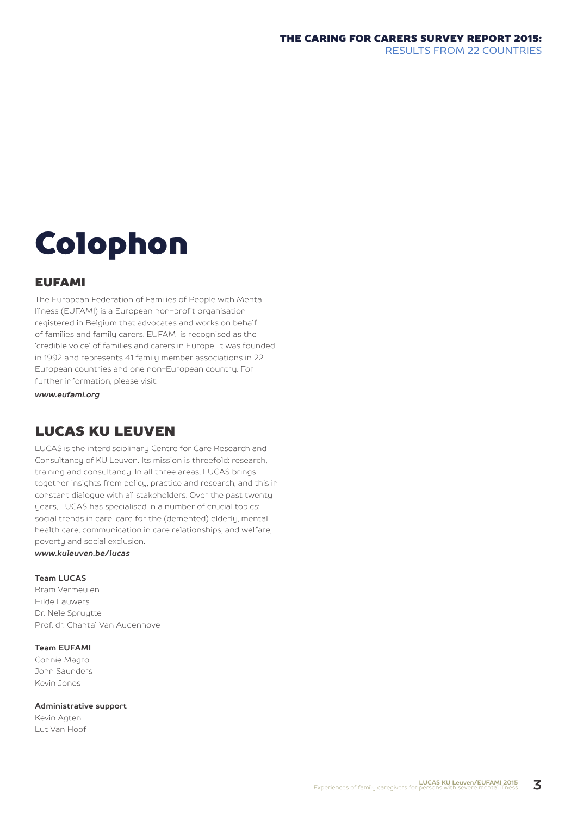# Colophon

#### EUFAMI

The European Federation of Families of People with Mental Illness (EUFAMI) is a European non-profit organisation registered in Belgium that advocates and works on behalf of families and family carers. EUFAMI is recognised as the 'credible voice' of families and carers in Europe. It was founded in 1992 and represents 41 family member associations in 22 European countries and one non-European country. For further information, please visit:

*www.eufami.org*

# LUCAS KU LEUVEN

LUCAS is the interdisciplinary Centre for Care Research and Consultancy of KU Leuven. Its mission is threefold: research, training and consultancy. In all three areas, LUCAS brings together insights from policy, practice and research, and this in constant dialogue with all stakeholders. Over the past twenty years, LUCAS has specialised in a number of crucial topics: social trends in care, care for the (demented) elderly, mental health care, communication in care relationships, and welfare, poverty and social exclusion.

*www.kuleuven.be/lucas*

#### **Team LUCAS**

Bram Vermeulen Hilde Lauwers Dr. Nele Spruytte Prof. dr. Chantal Van Audenhove

#### **Team EUFAMI**

Connie Magro John Saunders Kevin Jones

#### **Administrative support**

Kevin Agten Lut Van Hoof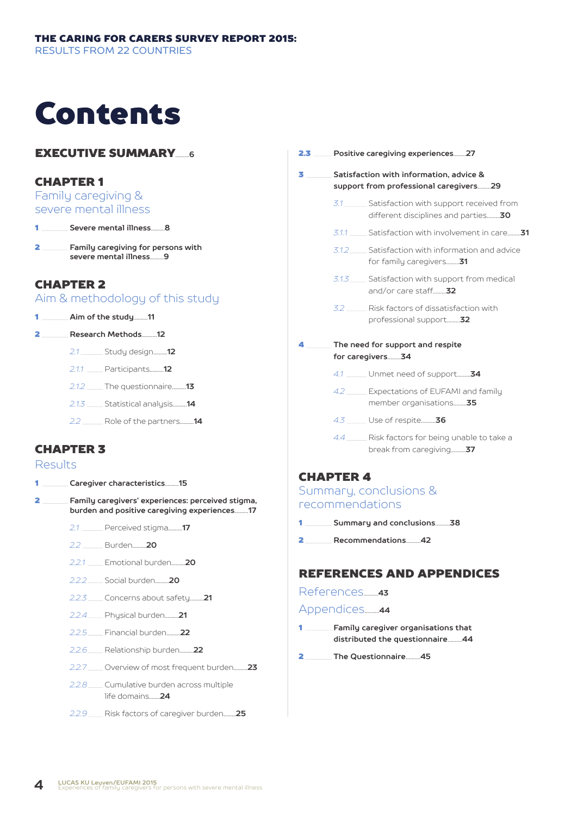# Contents

## **EXECUTIVE SUMMARY**

### CHAPTER 1

Family caregiving & severe mental illness

1 **Severe mental illness**..........**8**

 $\equiv$  Family caregiving for persons with **severe mental illness**..........**9**

## CHAPTER 2

Aim & methodology of this study

1 **Aim of the study**..........**11**

2 **Research Methods**...........**12**

- *2.1* Study design..........**12**
- *2.1.1* Participants..........**12**
- *2.1.2* The questionnaire..........**13**
- *2.1.3* Statistical analysis..........**14**
- *2.2* Role of the partners..........**14**

## CHAPTER 3

#### Results

- 1 **Caregiver characteristics**..........**15**
- 2 **Family caregivers' experiences: perceived stigma, burden and positive caregiving experiences**..........**17**
	- *2.1* Perceived stigma..........**17**
	- *2.2* Burden..........**20**
	- *2.2.1* Emotional burden..........**20**
	- *2.2.2* Social burden..........**20**
	- *2.2.3* Concerns about safety..........**21**
	- *2.2.4* Physical burden..........**21**
	- *2.2.5* Financial burden..........**22**
	- *2.2.6* Relationship burden..........**22**
	- *2.2.7* Overview of most frequent burden..........**23**
	- *2.2.8* Cumulative burden across multiple life domains........**24**
	- *2.2.9* Risk factors of caregiver burden.........**25**

2.3 **Positive caregiving experiences**.........**27** 3 **Satisfaction with information, advice & support from professional caregivers**.........**29** 3.1 Satisfaction with support received from different disciplines and parties.........**30** *3.1.1* Satisfaction with involvement in care.........**31** *3.1.2* Satisfaction with information and advice for family caregivers.........**31** 3.1.3 Satisfaction with support from medical and/or care staff.........**32** *3.2* Risk factors of dissatisfaction with professional support.........**32** 4 **The need for support and respite for caregivers**.........**34** *4.1* Unmet need of support.........**34** *4.2* Expectations of EUFAMI and family member organisations.........**35** *4.3* Use of respite..........**36** 4.4 Risk factors for being unable to take a break from caregiving..........**37**

## CHAPTER 4

#### Summary, conclusions & recommendations

- 1 **Summary and conclusions**..........**38**
- 2 **Recommendations**..........**42**

## REFERENCES AND APPENDICES

References..........**<sup>43</sup>**

Appendices..........**<sup>44</sup>**

- 1 **Family caregiver organisations that distributed the questionnaire**..........**44**
- 2 **The Questionnaire**..........**45**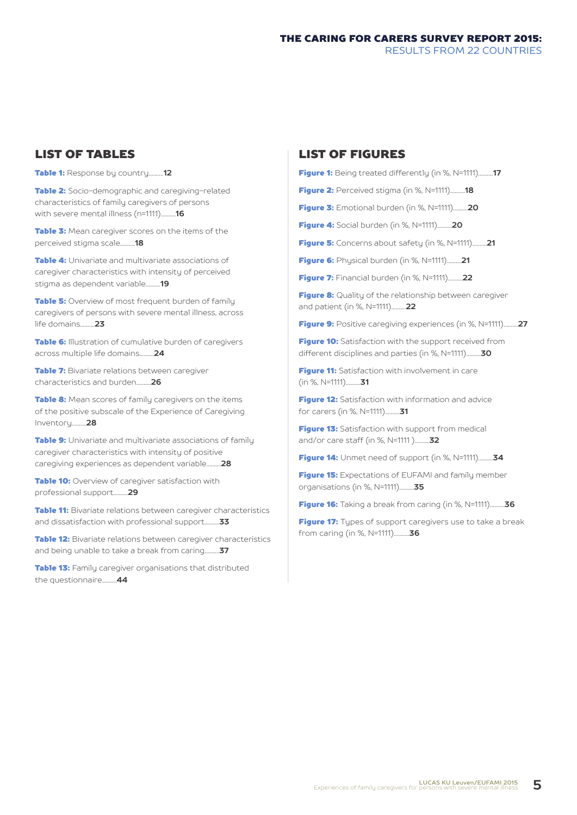## LIST OF TABLES

Table 1: Response by country..........**12**

**Table 2:** Socio-demographic and caregiving-related characteristics of family caregivers of persons with severe mental illness (n=1111)..........**16**

Table 3: Mean caregiver scores on the items of the perceived stigma scale..........**18**

**Table 4:** Univariate and multivariate associations of caregiver characteristics with intensity of perceived stigma as dependent variable..........**19**

**Table 5:** Overview of most frequent burden of family caregivers of persons with severe mental illness, across life domains..........**23**

**Table 6:** Illustration of cumulative burden of caregivers across multiple life domains..........**24**

**Table 7:** Bivariate relations between caregiver characteristics and burden..........**26**

**Table 8:** Mean scores of family caregivers on the items of the positive subscale of the Experience of Caregiving Inventory..........**28**

**Table 9:** Univariate and multivariate associations of family caregiver characteristics with intensity of positive caregiving experiences as dependent variable..........**28**

**Table 10:** Overview of caregiver satisfaction with professional support..........**29**

**Table 11:** Bivariate relations between caregiver characteristics and dissatisfaction with professional support..........**33**

**Table 12:** Bivariate relations between caregiver characteristics and being unable to take a break from caring..........**37**

**Table 13:** Family caregiver organisations that distributed the questionnaire..........**44**

## LIST OF FIGURES

```
Figure 1: Being treated differently (in %, N=1111)..........17
```
Figure 2: Perceived stigma (in %, N=1111)..........**18**

Figure 3: Emotional burden (in %, N=1111)..........**20**

Figure 4: Social burden (in %, N=1111)..........**20**

Figure 5: Concerns about safety (in %, N=1111)..........**21**

Figure 6: Physical burden (in %, N=1111)..........**21**

Figure 7: Financial burden (in %, N=1111)..........**22**

**Figure 8:** Quality of the relationship between caregiver and patient (in %, N=1111)..........**22**

Figure 9: Positive caregiving experiences (in %, N=1111)..........**27**

Figure 10: Satisfaction with the support received from different disciplines and parties (in %, N=1111)..........**30**

**Figure 11:** Satisfaction with involvement in care (in %, N=1111)..........**31**

**Figure 12:** Satisfaction with information and advice for carers (in %, N=1111)..........**31**

Figure 13: Satisfaction with support from medical and/or care staff (in %, N=1111 )..........**32**

Figure 14: Unmet need of support (in %, N=1111)..........**34**

Figure 15: Expectations of EUFAMI and family member organisations (in %, N=1111)..........**35**

Figure 16: Taking a break from caring (in %, N=1111)..........**36**

Figure 17: Types of support caregivers use to take a break from caring (in %, N=1111)..........**36**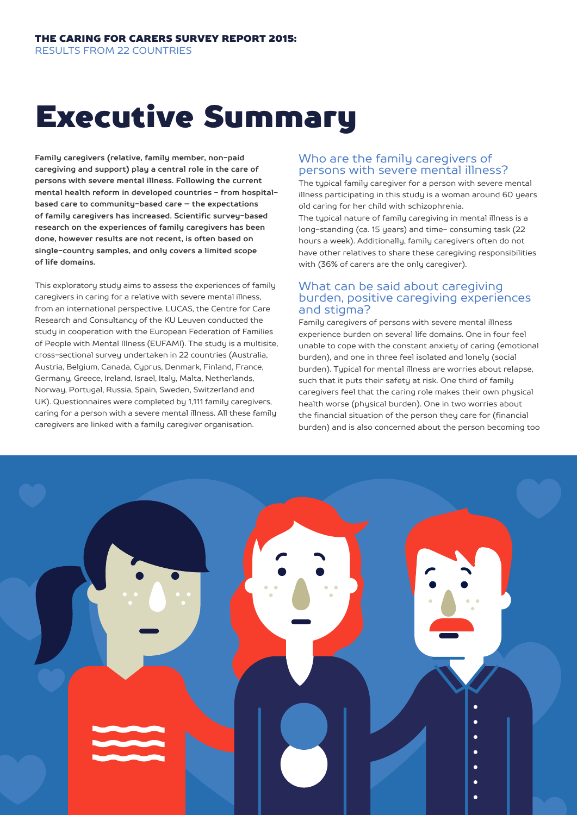# Executive Summary

**Family caregivers (relative, family member, non-paid caregiving and support) play a central role in the care of persons with severe mental illness. Following the current mental health reform in developed countries - from hospitalbased care to community-based care – the expectations of family caregivers has increased. Scientific survey-based research on the experiences of family caregivers has been done, however results are not recent, is often based on single-country samples, and only covers a limited scope of life domains.**

This exploratory study aims to assess the experiences of family caregivers in caring for a relative with severe mental illness, from an international perspective. LUCAS, the Centre for Care Research and Consultancy of the KU Leuven conducted the study in cooperation with the European Federation of Families of People with Mental Illness (EUFAMI). The study is a multisite, cross-sectional survey undertaken in 22 countries (Australia, Austria, Belgium, Canada, Cyprus, Denmark, Finland, France, Germany, Greece, Ireland, Israel, Italy, Malta, Netherlands, Norway, Portugal, Russia, Spain, Sweden, Switzerland and UK). Questionnaires were completed by 1,111 family caregivers, caring for a person with a severe mental illness. All these family caregivers are linked with a family caregiver organisation.

### Who are the family caregivers of persons with severe mental illness?

The typical family caregiver for a person with severe mental illness participating in this study is a woman around 60 years old caring for her child with schizophrenia.

The typical nature of family caregiving in mental illness is a long-standing (ca. 15 years) and time- consuming task (22 hours a week). Additionally, family caregivers often do not have other relatives to share these caregiving responsibilities with (36% of carers are the only caregiver).

#### What can be said about caregiving burden, positive caregiving experiences and stigma?

Family caregivers of persons with severe mental illness experience burden on several life domains. One in four feel unable to cope with the constant anxiety of caring (emotional burden), and one in three feel isolated and lonely (social burden). Typical for mental illness are worries about relapse, such that it puts their safety at risk. One third of family caregivers feel that the caring role makes their own physical health worse (physical burden). One in two worries about the financial situation of the person they care for (financial burden) and is also concerned about the person becoming too

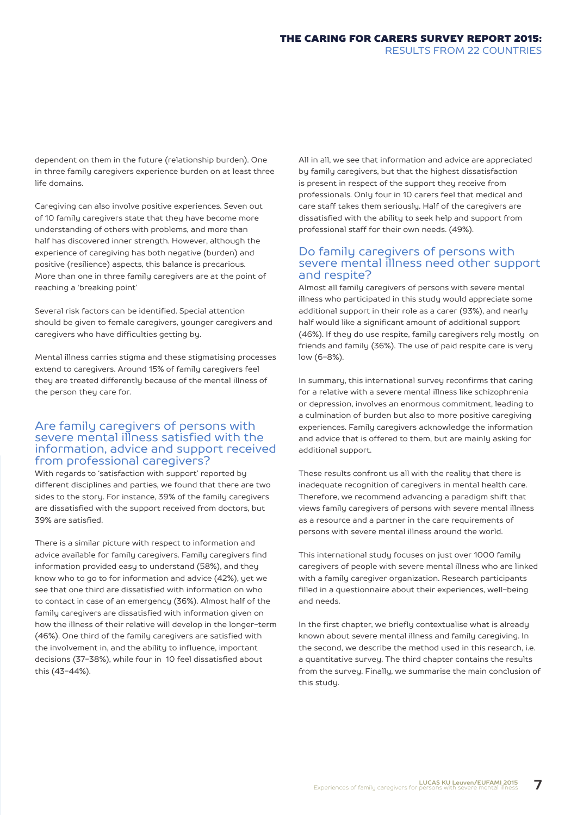dependent on them in the future (relationship burden). One in three family caregivers experience burden on at least three life domains.

Caregiving can also involve positive experiences. Seven out of 10 family caregivers state that they have become more understanding of others with problems, and more than half has discovered inner strength. However, although the experience of caregiving has both negative (burden) and positive (resilience) aspects, this balance is precarious. More than one in three family caregivers are at the point of reaching a 'breaking point'

Several risk factors can be identified. Special attention should be given to female caregivers, younger caregivers and caregivers who have difficulties getting by.

Mental illness carries stigma and these stigmatising processes extend to caregivers. Around 15% of family caregivers feel they are treated differently because of the mental illness of the person they care for.

#### Are family caregivers of persons with severe mental illness satisfied with the information, advice and support received from professional caregivers?

With regards to 'satisfaction with support' reported by different disciplines and parties, we found that there are two sides to the story. For instance, 39% of the family caregivers are dissatisfied with the support received from doctors, but 39% are satisfied.

There is a similar picture with respect to information and advice available for family caregivers. Family caregivers find information provided easy to understand (58%), and they know who to go to for information and advice (42%), yet we see that one third are dissatisfied with information on who to contact in case of an emergency (36%). Almost half of the family caregivers are dissatisfied with information given on how the illness of their relative will develop in the longer-term (46%). One third of the family caregivers are satisfied with the involvement in, and the ability to influence, important decisions (37-38%), while four in 10 feel dissatisfied about this (43-44%).

All in all, we see that information and advice are appreciated by family caregivers, but that the highest dissatisfaction is present in respect of the support they receive from professionals. Only four in 10 carers feel that medical and care staff takes them seriously. Half of the caregivers are dissatisfied with the ability to seek help and support from professional staff for their own needs. (49%).

### Do family caregivers of persons with severe mental illness need other support and respite?

Almost all family caregivers of persons with severe mental illness who participated in this study would appreciate some additional support in their role as a carer (93%), and nearly half would like a significant amount of additional support (46%). If they do use respite, family caregivers rely mostly on friends and family (36%). The use of paid respite care is very low (6-8%).

In summary, this international survey reconfirms that caring for a relative with a severe mental illness like schizophrenia or depression, involves an enormous commitment, leading to a culmination of burden but also to more positive caregiving experiences. Family caregivers acknowledge the information and advice that is offered to them, but are mainly asking for additional support.

These results confront us all with the reality that there is inadequate recognition of caregivers in mental health care. Therefore, we recommend advancing a paradigm shift that views family caregivers of persons with severe mental illness as a resource and a partner in the care requirements of persons with severe mental illness around the world.

This international study focuses on just over 1000 family caregivers of people with severe mental illness who are linked with a family caregiver organization. Research participants filled in a questionnaire about their experiences, well-being and needs.

In the first chapter, we briefly contextualise what is already known about severe mental illness and family caregiving. In the second, we describe the method used in this research, i.e. a quantitative survey. The third chapter contains the results from the survey. Finally, we summarise the main conclusion of this study.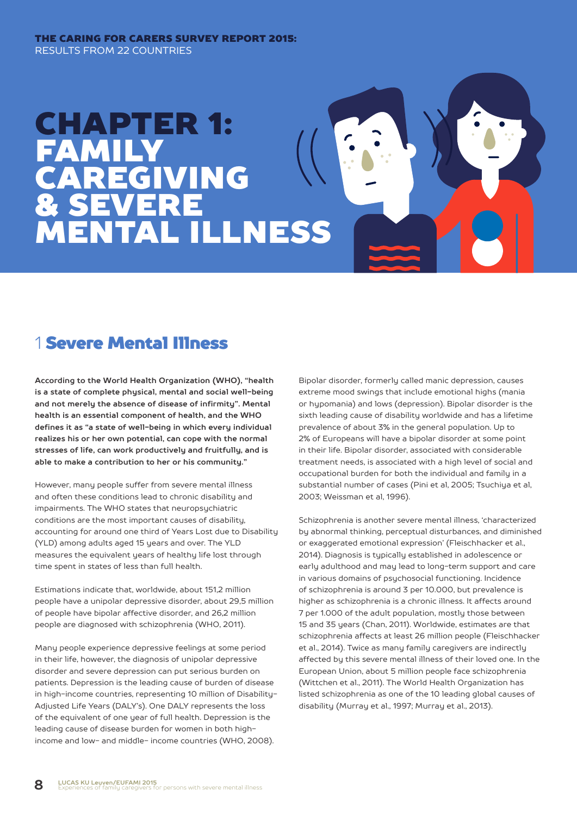#### THE CARING FOR CARERS SURVEY REPORT 2015: RESULTS FROM 22 COUNTRIES

# CHAPTER 1: FAMILY CAREGIVING & SEVERE MENTAL ILLNESS

# 1 Severe Mental Illness

**According to the World Health Organization (WHO), "health is a state of complete physical, mental and social well-being and not merely the absence of disease of infirmity". Mental health is an essential component of health, and the WHO defines it as "a state of well-being in which every individual realizes his or her own potential, can cope with the normal stresses of life, can work productively and fruitfully, and is able to make a contribution to her or his community."**

However, many people suffer from severe mental illness and often these conditions lead to chronic disability and impairments. The WHO states that neuropsychiatric conditions are the most important causes of disability, accounting for around one third of Years Lost due to Disability (YLD) among adults aged 15 years and over. The YLD measures the equivalent years of healthy life lost through time spent in states of less than full health.

Estimations indicate that, worldwide, about 151,2 million people have a unipolar depressive disorder, about 29,5 million of people have bipolar affective disorder, and 26,2 million people are diagnosed with schizophrenia (WHO, 2011).

Many people experience depressive feelings at some period in their life, however, the diagnosis of unipolar depressive disorder and severe depression can put serious burden on patients. Depression is the leading cause of burden of disease in high-income countries, representing 10 million of Disability-Adjusted Life Years (DALY's). One DALY represents the loss of the equivalent of one year of full health. Depression is the leading cause of disease burden for women in both highincome and low- and middle- income countries (WHO, 2008).

Bipolar disorder, formerly called manic depression, causes extreme mood swings that include emotional highs (mania or hypomania) and lows (depression). Bipolar disorder is the sixth leading cause of disability worldwide and has a lifetime prevalence of about 3% in the general population. Up to 2% of Europeans will have a bipolar disorder at some point in their life. Bipolar disorder, associated with considerable treatment needs, is associated with a high level of social and occupational burden for both the individual and family in a substantial number of cases (Pini et al, 2005; Tsuchiya et al, 2003; Weissman et al, 1996).

Schizophrenia is another severe mental illness, 'characterized by abnormal thinking, perceptual disturbances, and diminished or exaggerated emotional expression' (Fleischhacker et al., 2014). Diagnosis is typically established in adolescence or early adulthood and may lead to long-term support and care in various domains of psychosocial functioning. Incidence of schizophrenia is around 3 per 10.000, but prevalence is higher as schizophrenia is a chronic illness. It affects around 7 per 1.000 of the adult population, mostly those between 15 and 35 years (Chan, 2011). Worldwide, estimates are that schizophrenia affects at least 26 million people (Fleischhacker et al., 2014). Twice as many family caregivers are indirectly affected by this severe mental illness of their loved one. In the European Union, about 5 million people face schizophrenia (Wittchen et al., 2011). The World Health Organization has listed schizophrenia as one of the 10 leading global causes of disability (Murray et al., 1997; Murray et al., 2013).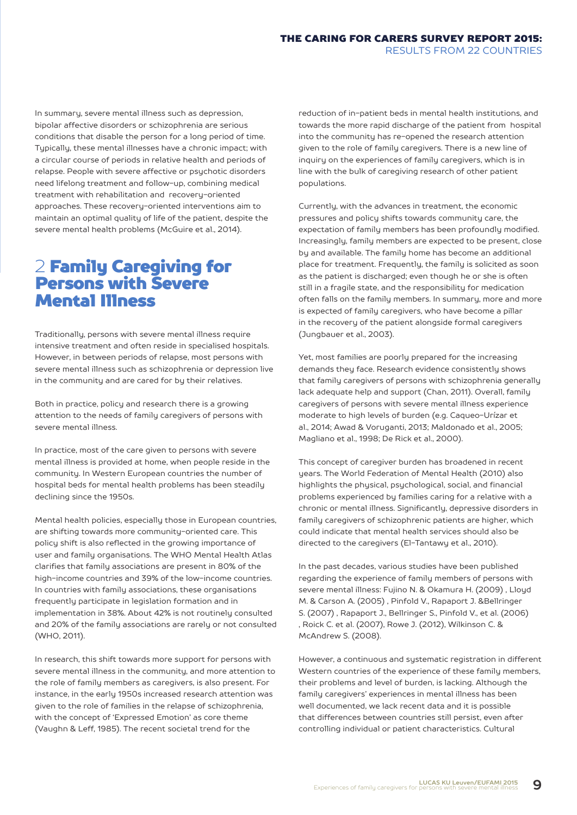In summary, severe mental illness such as depression, bipolar affective disorders or schizophrenia are serious conditions that disable the person for a long period of time. Typically, these mental illnesses have a chronic impact; with a circular course of periods in relative health and periods of relapse. People with severe affective or psychotic disorders need lifelong treatment and follow-up, combining medical treatment with rehabilitation and recovery-oriented approaches. These recovery-oriented interventions aim to maintain an optimal quality of life of the patient, despite the severe mental health problems (McGuire et al., 2014).

# 2 Family Caregiving for Persons with Severe Mental Illness

Traditionally, persons with severe mental illness require intensive treatment and often reside in specialised hospitals. However, in between periods of relapse, most persons with severe mental illness such as schizophrenia or depression live in the community and are cared for by their relatives.

Both in practice, policy and research there is a growing attention to the needs of family caregivers of persons with severe mental illness.

In practice, most of the care given to persons with severe mental illness is provided at home, when people reside in the community. In Western European countries the number of hospital beds for mental health problems has been steadily declining since the 1950s.

Mental health policies, especially those in European countries, are shifting towards more community-oriented care. This policy shift is also reflected in the growing importance of user and family organisations. The WHO Mental Health Atlas clarifies that family associations are present in 80% of the high-income countries and 39% of the low-income countries. In countries with family associations, these organisations frequently participate in legislation formation and in implementation in 38%. About 42% is not routinely consulted and 20% of the family associations are rarely or not consulted (WHO, 2011).

In research, this shift towards more support for persons with severe mental illness in the community, and more attention to the role of family members as caregivers, is also present. For instance, in the early 1950s increased research attention was given to the role of families in the relapse of schizophrenia, with the concept of 'Expressed Emotion' as core theme (Vaughn & Leff, 1985). The recent societal trend for the

reduction of in-patient beds in mental health institutions, and towards the more rapid discharge of the patient from hospital into the community has re-opened the research attention given to the role of family caregivers. There is a new line of inquiry on the experiences of family caregivers, which is in line with the bulk of caregiving research of other patient populations.

Currently, with the advances in treatment, the economic pressures and policy shifts towards community care, the expectation of family members has been profoundly modified. Increasingly, family members are expected to be present, close by and available. The family home has become an additional place for treatment. Frequently, the family is solicited as soon as the patient is discharged; even though he or she is often still in a fragile state, and the responsibility for medication often falls on the family members. In summary, more and more is expected of family caregivers, who have become a pillar in the recovery of the patient alongside formal caregivers (Jungbauer et al., 2003).

Yet, most families are poorly prepared for the increasing demands they face. Research evidence consistently shows that family caregivers of persons with schizophrenia generally lack adequate help and support (Chan, 2011). Overall, family caregivers of persons with severe mental illness experience moderate to high levels of burden (e.g. Caqueo-Urízar et al., 2014; Awad & Voruganti, 2013; Maldonado et al., 2005; Magliano et al., 1998; De Rick et al., 2000).

This concept of caregiver burden has broadened in recent years. The World Federation of Mental Health (2010) also highlights the physical, psychological, social, and financial problems experienced by families caring for a relative with a chronic or mental illness. Significantly, depressive disorders in family caregivers of schizophrenic patients are higher, which could indicate that mental health services should also be directed to the caregivers (El-Tantawy et al., 2010).

In the past decades, various studies have been published regarding the experience of family members of persons with severe mental illness: Fujino N. & Okamura H. (2009) , Lloyd M. & Carson A. (2005) , Pinfold V., Rapaport J. &Bellringer S. (2007) , Rapaport J., Bellringer S., Pinfold V., et al. (2006) , Roick C. et al. (2007), Rowe J. (2012), Wilkinson C. & McAndrew S. (2008).

However, a continuous and systematic registration in different Western countries of the experience of these family members, their problems and level of burden, is lacking. Although the family caregivers' experiences in mental illness has been well documented, we lack recent data and it is possible that differences between countries still persist, even after controlling individual or patient characteristics. Cultural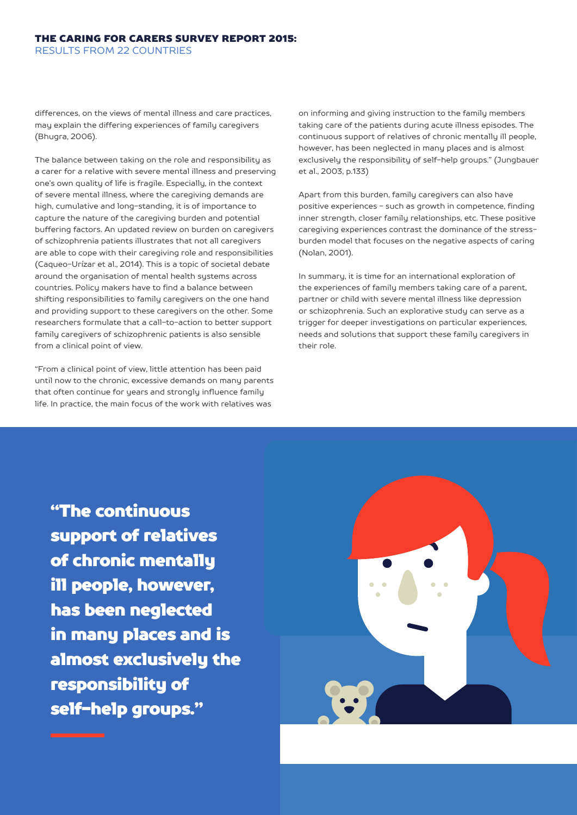differences, on the views of mental illness and care practices, may explain the differing experiences of family caregivers (Bhugra, 2006).

The balance between taking on the role and responsibility as a carer for a relative with severe mental illness and preserving one's own quality of life is fragile. Especially, in the context of severe mental illness, where the caregiving demands are high, cumulative and long-standing, it is of importance to capture the nature of the caregiving burden and potential buffering factors. An updated review on burden on caregivers of schizophrenia patients illustrates that not all caregivers are able to cope with their caregiving role and responsibilities (Caqueo-Urízar et al., 2014). This is a topic of societal debate around the organisation of mental health systems across countries. Policy makers have to find a balance between shifting responsibilities to family caregivers on the one hand and providing support to these caregivers on the other. Some researchers formulate that a call-to-action to better support family caregivers of schizophrenic patients is also sensible from a clinical point of view.

"From a clinical point of view, little attention has been paid until now to the chronic, excessive demands on many parents that often continue for years and strongly influence family life. In practice, the main focus of the work with relatives was

on informing and giving instruction to the family members taking care of the patients during acute illness episodes. The continuous support of relatives of chronic mentally ill people, however, has been neglected in many places and is almost exclusively the responsibility of self-help groups." (Jungbauer et al., 2003, p.133)

Apart from this burden, family caregivers can also have positive experiences - such as growth in competence, finding inner strength, closer family relationships, etc. These positive caregiving experiences contrast the dominance of the stressburden model that focuses on the negative aspects of caring (Nolan, 2001).

In summary, it is time for an international exploration of the experiences of family members taking care of a parent, partner or child with severe mental illness like depression or schizophrenia. Such an explorative study can serve as a trigger for deeper investigations on particular experiences, needs and solutions that support these family caregivers in their role.

"The continuous support of relatives of chronic mentally ill people, however, has been neglected in many places and is almost exclusively the responsibility of self-help groups."

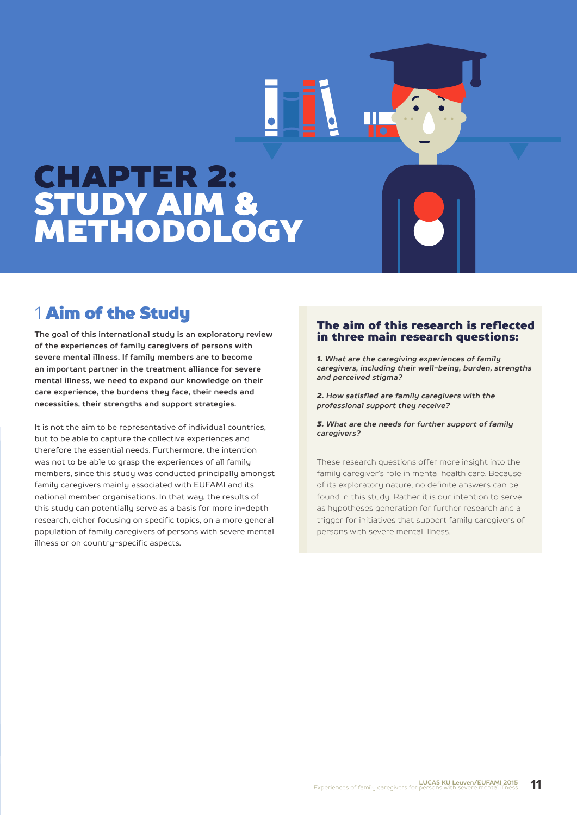# CHAPTER 2: STUDY AIM & METHODOLOGY

# 1 Aim of the Studu

**The goal of this international study is an exploratory review of the experiences of family caregivers of persons with severe mental illness. If family members are to become an important partner in the treatment alliance for severe mental illness, we need to expand our knowledge on their care experience, the burdens they face, their needs and necessities, their strengths and support strategies.**

It is not the aim to be representative of individual countries, but to be able to capture the collective experiences and therefore the essential needs. Furthermore, the intention was not to be able to grasp the experiences of all family members, since this study was conducted principally amongst family caregivers mainly associated with EUFAMI and its national member organisations. In that way, the results of this study can potentially serve as a basis for more in-depth research, either focusing on specific topics, on a more general population of family caregivers of persons with severe mental illness or on country-specific aspects.

#### The aim of this research is reflected in three main research questions:

*1. What are the caregiving experiences of family caregivers, including their well-being, burden, strengths and perceived stigma?*

*2. How satisfied are family caregivers with the professional support they receive?*

*3. What are the needs for further support of family caregivers?*

These research questions offer more insight into the family caregiver's role in mental health care. Because of its exploratory nature, no definite answers can be found in this study. Rather it is our intention to serve as hypotheses generation for further research and a trigger for initiatives that support family caregivers of persons with severe mental illness.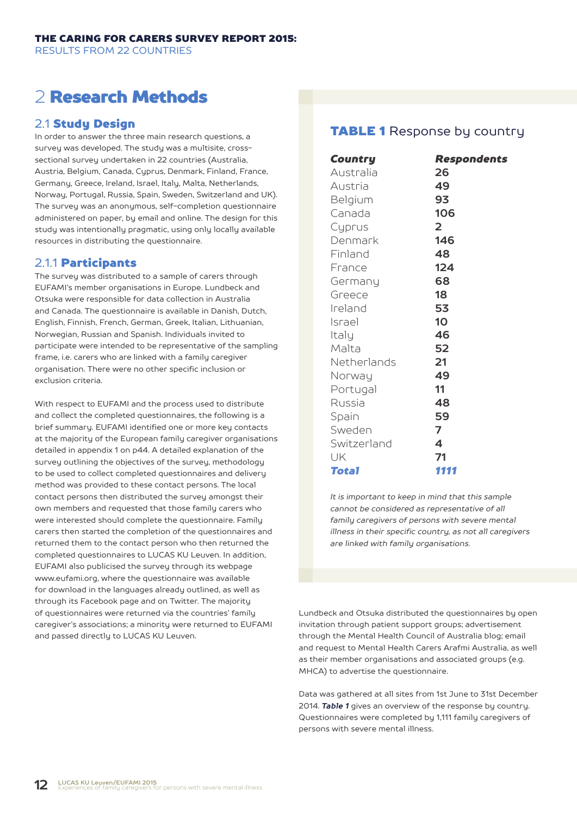# 2 Research Methods

### 2.1 Study Design

In order to answer the three main research questions, a survey was developed. The study was a multisite, crosssectional survey undertaken in 22 countries (Australia, Austria, Belgium, Canada, Cyprus, Denmark, Finland, France, Germany, Greece, Ireland, Israel, Italy, Malta, Netherlands, Norway, Portugal, Russia, Spain, Sweden, Switzerland and UK). The survey was an anonymous, self-completion questionnaire administered on paper, by email and online. The design for this study was intentionally pragmatic, using only locally available resources in distributing the questionnaire.

### 2.1.1 Participants

The survey was distributed to a sample of carers through EUFAMI's member organisations in Europe. Lundbeck and Otsuka were responsible for data collection in Australia and Canada. The questionnaire is available in Danish, Dutch, English, Finnish, French, German, Greek, Italian, Lithuanian, Norwegian, Russian and Spanish. Individuals invited to participate were intended to be representative of the sampling frame, i.e. carers who are linked with a family caregiver organisation. There were no other specific inclusion or exclusion criteria.

With respect to EUFAMI and the process used to distribute and collect the completed questionnaires, the following is a brief summary. EUFAMI identified one or more key contacts at the majority of the European family caregiver organisations detailed in appendix 1 on p44. A detailed explanation of the survey outlining the objectives of the survey, methodology to be used to collect completed questionnaires and delivery method was provided to these contact persons. The local contact persons then distributed the survey amongst their own members and requested that those family carers who were interested should complete the questionnaire. Family carers then started the completion of the questionnaires and returned them to the contact person who then returned the completed questionnaires to LUCAS KU Leuven. In addition, EUFAMI also publicised the survey through its webpage www.eufami.org, where the questionnaire was available for download in the languages already outlined, as well as through its Facebook page and on Twitter. The majority of questionnaires were returned via the countries' family caregiver's associations; a minority were returned to EUFAMI and passed directly to LUCAS KU Leuven.

## **TABLE 1** Response by country

| Country     | <b>Respondents</b> |
|-------------|--------------------|
| Australia   | 26                 |
| Austria     | 49                 |
| Belgium     | 93                 |
| Canada      | 106                |
| Cyprus      | $\overline{2}$     |
| Denmark     | 146                |
| Finland     | 48                 |
| France      | 124                |
| Germany     | 68                 |
| Greece      | 18                 |
| Ireland     | 53                 |
| Israel      | 10                 |
| Italy       | 46                 |
| Malta       | 52                 |
| Netherlands | 21                 |
| Norway      | 49                 |
| Portugal    | 11                 |
| Russia      | 48                 |
| Spain       | 59                 |
| Sweden      | 7                  |
| Switzerland | 4                  |
| UK          | 71                 |
| Total       | 1111               |

*It is important to keep in mind that this sample cannot be considered as representative of all family caregivers of persons with severe mental illness in their specific country, as not all caregivers are linked with family organisations.*

Lundbeck and Otsuka distributed the questionnaires by open invitation through patient support groups; advertisement through the Mental Health Council of Australia blog; email and request to Mental Health Carers Arafmi Australia, as well as their member organisations and associated groups (e.g. MHCA) to advertise the questionnaire.

Data was gathered at all sites from 1st June to 31st December 2014. *Table 1* gives an overview of the response by country. Questionnaires were completed by 1,111 family caregivers of persons with severe mental illness.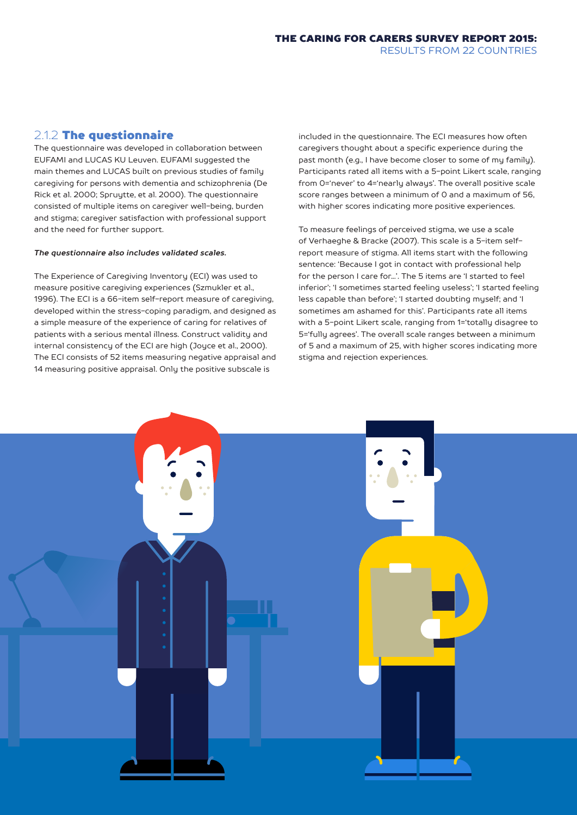### 2.1.2 The questionnaire

The questionnaire was developed in collaboration between EUFAMI and LUCAS KU Leuven. EUFAMI suggested the main themes and LUCAS built on previous studies of family caregiving for persons with dementia and schizophrenia (De Rick et al. 2000; Spruytte, et al. 2000). The questionnaire consisted of multiple items on caregiver well-being, burden and stigma; caregiver satisfaction with professional support and the need for further support.

#### *The questionnaire also includes validated scales.*

The Experience of Caregiving Inventory (ECI) was used to measure positive caregiving experiences (Szmukler et al., 1996). The ECI is a 66-item self-report measure of caregiving, developed within the stress-coping paradigm, and designed as a simple measure of the experience of caring for relatives of patients with a serious mental illness. Construct validity and internal consistency of the ECI are high (Joyce et al., 2000). The ECI consists of 52 items measuring negative appraisal and 14 measuring positive appraisal. Only the positive subscale is

included in the questionnaire. The ECI measures how often caregivers thought about a specific experience during the past month (e.g., I have become closer to some of my family). Participants rated all items with a 5-point Likert scale, ranging from 0='never' to 4='nearly always'. The overall positive scale score ranges between a minimum of 0 and a maximum of 56, with higher scores indicating more positive experiences.

To measure feelings of perceived stigma, we use a scale of Verhaeghe & Bracke (2007). This scale is a 5-item selfreport measure of stigma. All items start with the following sentence: 'Because I got in contact with professional help for the person I care for...'. The 5 items are 'I started to feel inferior'; 'I sometimes started feeling useless'; 'I started feeling less capable than before'; 'I started doubting myself; and 'I sometimes am ashamed for this'. Participants rate all items with a 5-point Likert scale, ranging from 1='totally disagree to 5='fully agrees'. The overall scale ranges between a minimum of 5 and a maximum of 25, with higher scores indicating more stigma and rejection experiences.

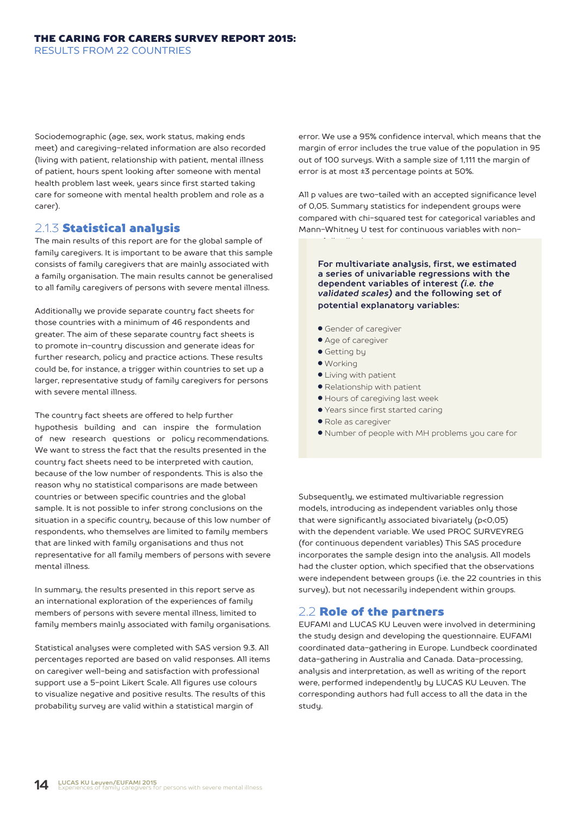Sociodemographic (age, sex, work status, making ends meet) and caregiving-related information are also recorded (living with patient, relationship with patient, mental illness of patient, hours spent looking after someone with mental health problem last week, years since first started taking care for someone with mental health problem and role as a carer).

#### 2.1.3 Statistical analysis

The main results of this report are for the global sample of family caregivers. It is important to be aware that this sample consists of family caregivers that are mainly associated with a family organisation. The main results cannot be generalised to all family caregivers of persons with severe mental illness.

Additionally we provide separate country fact sheets for those countries with a minimum of 46 respondents and greater. The aim of these separate country fact sheets is to promote in-country discussion and generate ideas for further research, policy and practice actions. These results could be, for instance, a trigger within countries to set up a larger, representative study of family caregivers for persons with severe mental illness.

The country fact sheets are offered to help further hypothesis building and can inspire the formulation of new research questions or policy recommendations. We want to stress the fact that the results presented in the country fact sheets need to be interpreted with caution, because of the low number of respondents. This is also the reason why no statistical comparisons are made between countries or between specific countries and the global sample. It is not possible to infer strong conclusions on the situation in a specific country, because of this low number of respondents, who themselves are limited to family members that are linked with family organisations and thus not representative for all family members of persons with severe mental illness.

In summary, the results presented in this report serve as an international exploration of the experiences of family members of persons with severe mental illness, limited to family members mainly associated with family organisations.

Statistical analyses were completed with SAS version 9.3. All percentages reported are based on valid responses. All items on caregiver well-being and satisfaction with professional support use a 5-point Likert Scale. All figures use colours to visualize negative and positive results. The results of this probability survey are valid within a statistical margin of

error. We use a 95% confidence interval, which means that the margin of error includes the true value of the population in 95 out of 100 surveys. With a sample size of 1,111 the margin of error is at most ±3 percentage points at 50%.

All p values are two-tailed with an accepted significance level of 0,05. Summary statistics for independent groups were compared with chi-squared test for categorical variables and Mann-Whitney U test for continuous variables with non-

**For multivariate analysis, first, we estimated a series of univariable regressions with the dependent variables of interest** *(i.e. the validated scales)* **and the following set of potential explanatory variables:**

- Gender of caregiver
- Age of caregiver
- Getting by

normal distributions.

- Working
- Living with patient
- Relationship with patient
- Hours of caregiving last week
- Years since first started caring
- Role as caregiver
- Number of people with MH problems you care for

Subsequently, we estimated multivariable regression models, introducing as independent variables only those that were significantly associated bivariately (p<0,05) with the dependent variable. We used PROC SURVEYREG (for continuous dependent variables) This SAS procedure incorporates the sample design into the analysis. All models had the cluster option, which specified that the observations were independent between groups (i.e. the 22 countries in this survey), but not necessarily independent within groups.

#### 2.2 Role of the partners

EUFAMI and LUCAS KU Leuven were involved in determining the study design and developing the questionnaire. EUFAMI coordinated data-gathering in Europe. Lundbeck coordinated data-gathering in Australia and Canada. Data-processing, analysis and interpretation, as well as writing of the report were, performed independently by LUCAS KU Leuven. The corresponding authors had full access to all the data in the studu.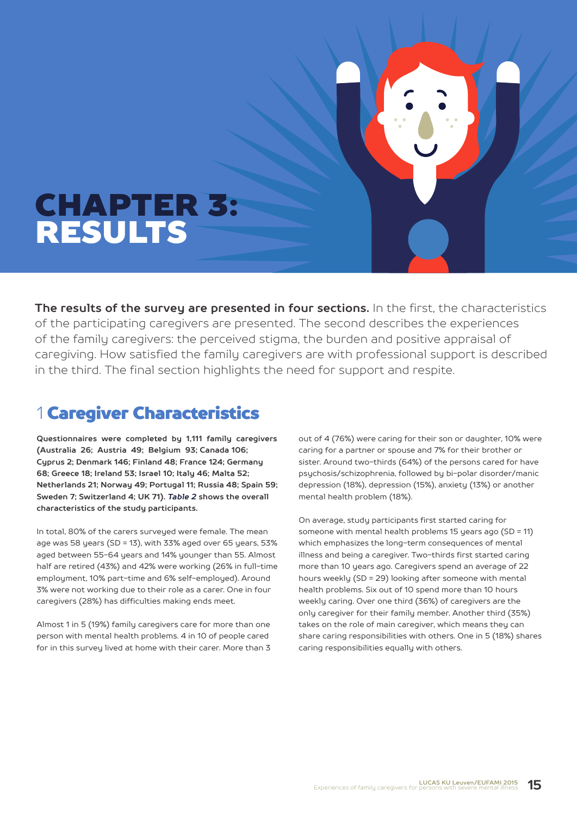# CHAPTER 3: RESULTS

**The results of the survey are presented in four sections.** In the first, the characteristics of the participating caregivers are presented. The second describes the experiences of the family caregivers: the perceived stigma, the burden and positive appraisal of caregiving. How satisfied the family caregivers are with professional support is described in the third. The final section highlights the need for support and respite.

# 1 Caregiver Characteristics

**Questionnaires were completed by 1,111 family caregivers (Australia 26; Austria 49; Belgium 93; Canada 106; Cyprus 2; Denmark 146; Finland 48; France 124; Germany 68; Greece 18; Ireland 53; Israel 10; Italy 46; Malta 52; Netherlands 21; Norway 49; Portugal 11; Russia 48; Spain 59; Sweden 7; Switzerland 4; UK 71).** *Table 2* **shows the overall characteristics of the study participants.**

In total, 80% of the carers surveyed were female. The mean age was 58 years (SD = 13), with 33% aged over 65 years, 53% aged between 55-64 years and 14% younger than 55. Almost half are retired (43%) and 42% were working (26% in full-time employment, 10% part-time and 6% self-employed). Around 3% were not working due to their role as a carer. One in four caregivers (28%) has difficulties making ends meet.

Almost 1 in 5 (19%) family caregivers care for more than one person with mental health problems. 4 in 10 of people cared for in this survey lived at home with their carer. More than 3 out of 4 (76%) were caring for their son or daughter, 10% were caring for a partner or spouse and 7% for their brother or sister. Around two-thirds (64%) of the persons cared for have psychosis/schizophrenia, followed by bi-polar disorder/manic depression (18%), depression (15%), anxiety (13%) or another mental health problem (18%).

On average, study participants first started caring for someone with mental health problems 15 years ago (SD = 11) which emphasizes the long-term consequences of mental illness and being a caregiver. Two-thirds first started caring more than 10 years ago. Caregivers spend an average of 22 hours weekly (SD = 29) looking after someone with mental health problems. Six out of 10 spend more than 10 hours weekly caring. Over one third (36%) of caregivers are the only caregiver for their family member. Another third (35%) takes on the role of main caregiver, which means they can share caring responsibilities with others. One in 5 (18%) shares caring responsibilities equally with others.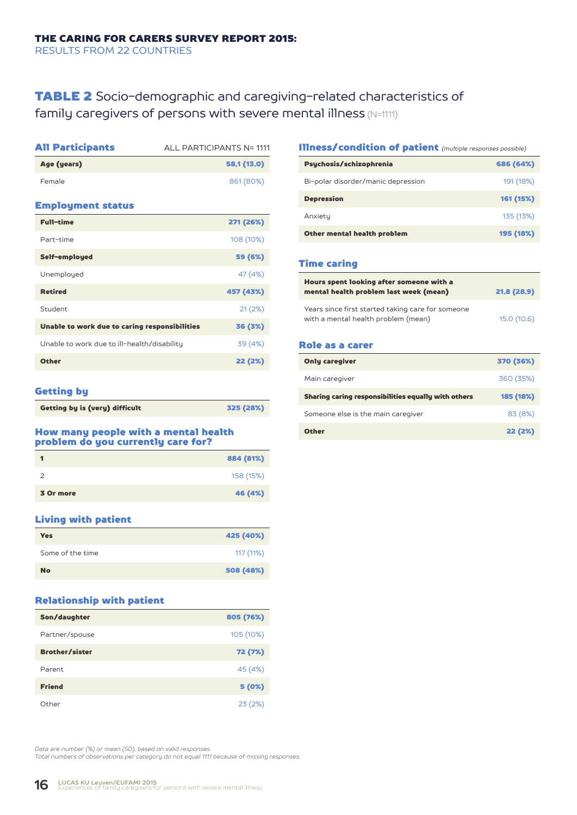## TABLE 2 Socio-demographic and caregiving-related characteristics of family caregivers of persons with severe mental illness (N=1111)

| <b>All Participants</b>                       | ALL PARTICIPANTS N= 1111 |
|-----------------------------------------------|--------------------------|
| Age (years)                                   | 58,1 (13,0)              |
| Female                                        | 861 (80%)                |
| <b>Employment status</b>                      |                          |
| <b>Full-time</b>                              | 271 (26%)                |
| Part-time                                     | 108 (10%)                |
| Self-employed                                 | 59 (6%)                  |
| Unemployed                                    | 47 (4%)                  |
| <b>Retired</b>                                | 457 (43%)                |
| Student                                       | 21(2%)                   |
| Unable to work due to caring responsibilities | 36 (3%)                  |
| Unable to work due to ill-health/disability   | 39 (4%)                  |
| <b>Other</b>                                  | 22 (2%)                  |
|                                               |                          |

#### Getting by

| Getting by is (very) difficult | 325 (28%) |
|--------------------------------|-----------|
|                                |           |

#### How many people with a mental health problem do you currently care for?

|               | 884 (81%) |
|---------------|-----------|
| $\mathcal{L}$ | 158 (15%) |
| 3 Or more     | 46 (4%)   |

#### Living with patient

| Yes              | 425 (40%) |
|------------------|-----------|
| Some of the time | 117 (11%) |
| <b>No</b>        | 508 (48%) |

#### Relationship with patient

| Son/daughter          | 805 (76%) |
|-----------------------|-----------|
| Partner/spouse        | 105 (10%) |
| <b>Brother/sister</b> | 72 (7%)   |
| Parent                | 45 (4%)   |
| <b>Friend</b>         | 5 (0%)    |
| Other                 | 23(2%)    |

#### Illness/condition of patient *(multiple responses possible)*

| Psychosis/schizophrenia            | 686 (64%) |
|------------------------------------|-----------|
| Bi-polar disorder/manic depression | 191 (18%) |
| <b>Depression</b>                  | 161 (15%) |
| Anxiety                            | 135 (13%) |
| Other mental health problem        | 195 (18%) |

#### Time caring

| Hours spent looking after someone with a<br>mental health problem last week (mean) | 21,8 (28,9) |
|------------------------------------------------------------------------------------|-------------|
| Years since first started taking care for someone                                  |             |
| with a mental health problem (mean)                                                | 15,0 (10,6) |

#### Role as a carer

| <b>Only caregiver</b>                               | 370 (36%) |
|-----------------------------------------------------|-----------|
| Main caregiver                                      | 360 (35%) |
| Sharing caring responsibilities equally with others | 185 (18%) |
| Someone else is the main caregiver                  | 83 (8%)   |
| <b>Other</b>                                        | 22 (2%)   |

*Data are number (%) or mean (SD), based on valid responses. Total numbers of observations per category do not equal 1111 because of missing responses.*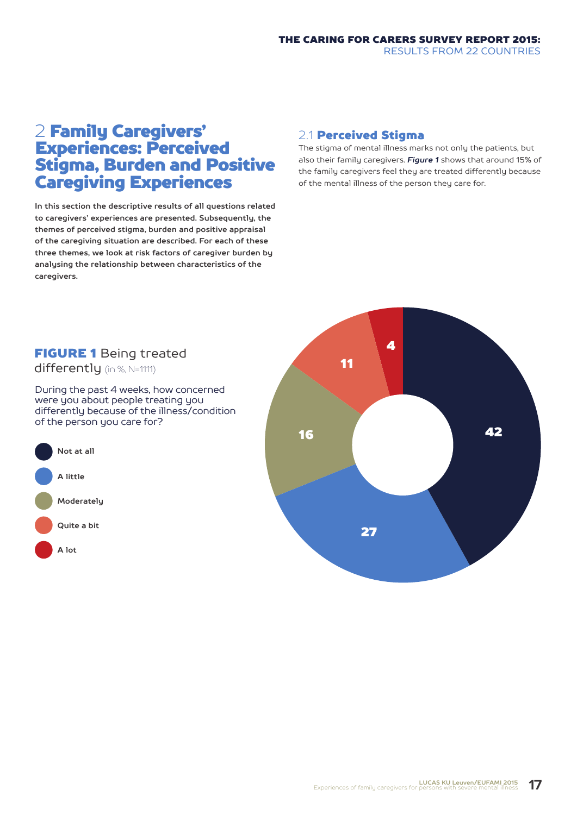# 2 Family Caregivers' Experiences: Perceived Stigma, Burden and Positive Caregiving Experiences

**In this section the descriptive results of all questions related to caregivers' experiences are presented. Subsequently, the themes of perceived stigma, burden and positive appraisal of the caregiving situation are described. For each of these three themes, we look at risk factors of caregiver burden by analysing the relationship between characteristics of the caregivers.**

### 2.1 Perceived Stigma

The stigma of mental illness marks not only the patients, but also their family caregivers. *Figure 1* shows that around 15% of the family caregivers feel they are treated differently because of the mental illness of the person they care for.

## FIGURE 1 Being treated

differently (in %, N=1111)

During the past 4 weeks, how concerned were you about people treating you differently because of the illness/condition of the person you care for?



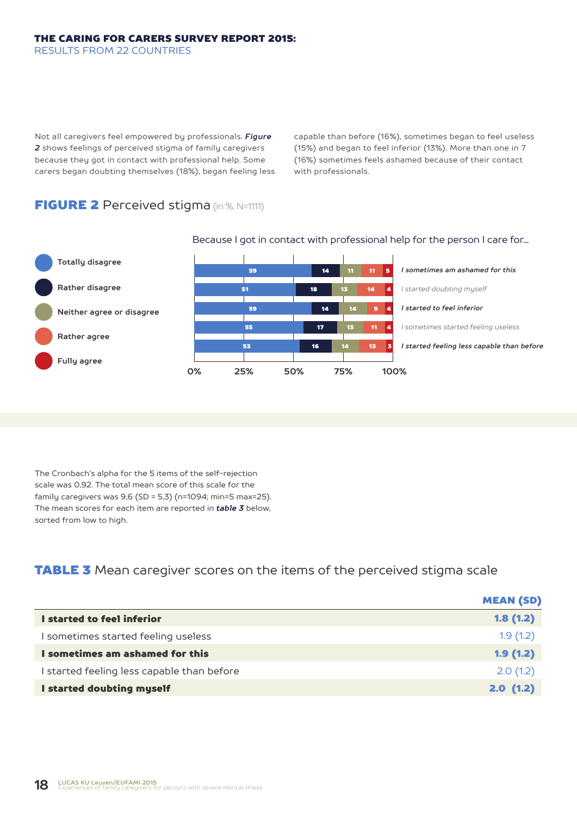Not all caregivers feel empowered by professionals. *Figure 2* shows feelings of perceived stigma of family caregivers because they got in contact with professional help. Some carers began doubting themselves (18%), began feeling less capable than before (16%), sometimes began to feel useless (15%) and began to feel inferior (13%). More than one in 7 (16%) sometimes feels ashamed because of their contact with professionals.

## FIGURE 2 Perceived stigma (in %, N=1111)



#### Because I got in contact with professional help for the person I care for...

The Cronbach's alpha for the 5 items of the self-rejection scale was 0,92. The total mean score of this scale for the family caregivers was 9,6 (SD = 5,3) (n=1094; min=5 max=25). The mean scores for each item are reported in *table 3* below, sorted from low to high.

## **TABLE 3** Mean caregiver scores on the items of the perceived stigma scale

|                                            | <b>MEAN (SD)</b> |
|--------------------------------------------|------------------|
| I started to feel inferior                 | 1.8(1.2)         |
| I sometimes started feeling useless        | 1.9(1.2)         |
| I sometimes am ashamed for this            | 1.9(1.2)         |
| I started feeling less capable than before | 2.0(1.2)         |
| I started doubting myself                  | 2.0(1.2)         |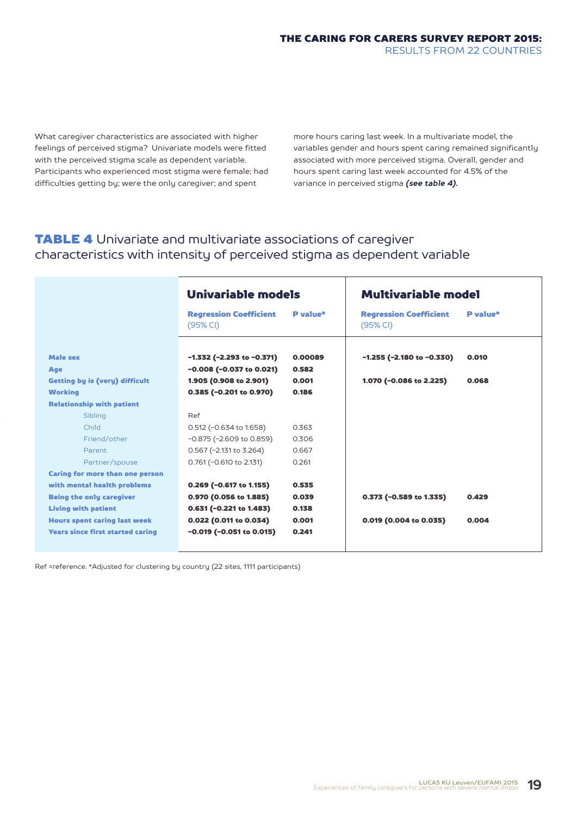What caregiver characteristics are associated with higher feelings of perceived stigma? Univariate models were fitted with the perceived stigma scale as dependent variable. Participants who experienced most stigma were female; had difficulties getting by; were the only caregiver; and spent

more hours caring last week. In a multivariate model, the variables gender and hours spent caring remained significantly associated with more perceived stigma. Overall, gender and hours spent caring last week accounted for 4.5% of the variance in perceived stigma *(see table 4).*

## TABLE 4 Univariate and multivariate associations of caregiver characteristics with intensity of perceived stigma as dependent variable

|                                         | Univariable models                        |          | <b>Multivariable model</b>                |          |
|-----------------------------------------|-------------------------------------------|----------|-------------------------------------------|----------|
|                                         | <b>Regression Coefficient</b><br>(95% CI) | P value* | <b>Regression Coefficient</b><br>(95% CI) | P value* |
| <b>Male sex</b>                         | $-1.332$ (-2.293 to $-0.371$ )            | 0.00089  | $-1.255$ ( $-2.180$ to $-0.330$ )         | 0.010    |
| Age                                     | $-0.008$ ( $-0.037$ to 0.021)             | 0.582    |                                           |          |
| <b>Getting by is (very) difficult</b>   | 1.905 (0.908 to 2.901)                    | 0.001    | 1.070 (-0.086 to 2.225)                   | 0.068    |
| <b>Working</b>                          | 0.385 (-0.201 to 0.970)                   | 0.186    |                                           |          |
| <b>Relationship with patient</b>        |                                           |          |                                           |          |
| Sibling                                 | Ref                                       |          |                                           |          |
| Child                                   | $0.512$ (-0.634 to 1.658)                 | 0.363    |                                           |          |
| Friend/other                            | $-0.875$ ( $-2.609$ to 0.859)             | 0.306    |                                           |          |
| <b>Parent</b>                           | $0.567$ (-2.131 to 3.264)                 | 0.667    |                                           |          |
| Partner/spouse                          | 0.761 (-0.610 to 2.131)                   | 0.261    |                                           |          |
| <b>Caring for more than one person</b>  |                                           |          |                                           |          |
| with mental health problems             | $0.269$ (-0.617 to 1.155)                 | 0.535    |                                           |          |
| <b>Being the only caregiver</b>         | 0.970 (0.056 to 1.885)                    | 0.039    | $0.373$ (-0.589 to 1.335)                 | 0.429    |
| <b>Living with patient</b>              | $0.631$ (-0.221 to 1.483)                 | 0.138    |                                           |          |
| <b>Hours spent caring last week</b>     | 0.022 (0.011 to 0.034)                    | 0.001    | $0.019$ (0.004 to 0.035)                  | 0.004    |
| <b>Years since first started caring</b> | $-0.019$ ( $-0.051$ to $0.015$ )          | 0.241    |                                           |          |
|                                         |                                           |          |                                           |          |

Ref =reference. \*Adjusted for clustering by country (22 sites, 1111 participants)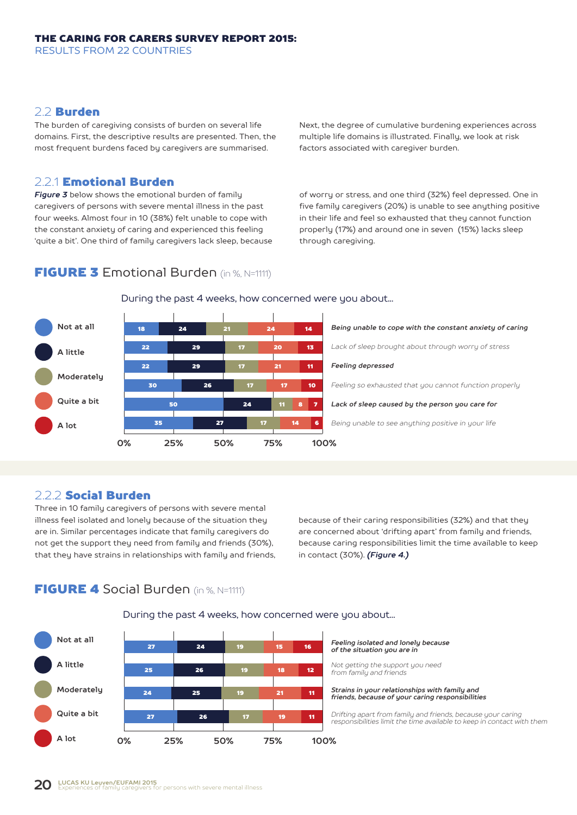## 2.2 Burden

The burden of caregiving consists of burden on several life domains. First, the descriptive results are presented. Then, the most frequent burdens faced by caregivers are summarised.

#### 2.2.1 Emotional Burden

*Figure 3* below shows the emotional burden of family caregivers of persons with severe mental illness in the past four weeks. Almost four in 10 (38%) felt unable to cope with the constant anxiety of caring and experienced this feeling 'quite a bit'. One third of family caregivers lack sleep, because

**FIGURE 3** Emotional Burden (in %, N=1111)

Next, the degree of cumulative burdening experiences across multiple life domains is illustrated. Finally, we look at risk factors associated with caregiver burden.

of worry or stress, and one third (32%) feel depressed. One in five family caregivers (20%) is unable to see anything positive in their life and feel so exhausted that they cannot function properly (17%) and around one in seven (15%) lacks sleep through caregiving.



#### During the past 4 weeks, how concerned were you about...

## 2.2.2 Social Burden

Three in 10 family caregivers of persons with severe mental illness feel isolated and lonely because of the situation they are in. Similar percentages indicate that family caregivers do not get the support they need from family and friends (30%), that they have strains in relationships with family and friends,

because of their caring responsibilities (32%) and that they are concerned about 'drifting apart' from family and friends, because caring responsibilities limit the time available to keep in contact (30%). *(Figure 4.)*

## **FIGURE 4 Social Burden (in %, N=1111)**

During the past 4 weeks, how concerned were you about...

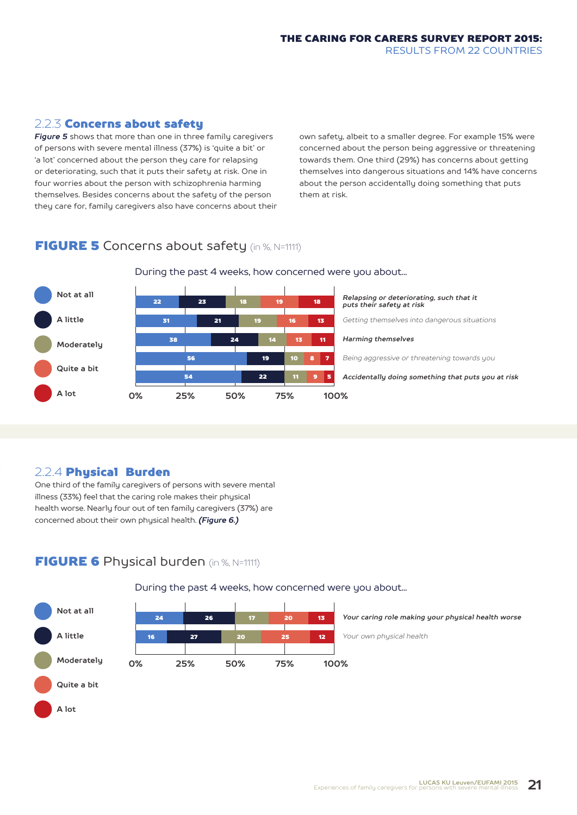RESULTS FROM 22 COUNTRIES

2.2.3 Concerns about safety

*Figure 5* shows that more than one in three family caregivers of persons with severe mental illness (37%) is 'quite a bit' or 'a lot' concerned about the person they care for relapsing or deteriorating, such that it puts their safety at risk. One in four worries about the person with schizophrenia harming themselves. Besides concerns about the safety of the person they care for, family caregivers also have concerns about their own safety, albeit to a smaller degree. For example 15% were concerned about the person being aggressive or threatening towards them. One third (29%) has concerns about getting themselves into dangerous situations and 14% have concerns about the person accidentally doing something that puts them at risk.

THE CARING FOR CARERS SURVEY REPORT 2015:

# **FIGURE 5** Concerns about safety (in %, N=1111)



## During the past 4 weeks, how concerned were you about...

## 2.2.4 Phusical Burden

One third of the family caregivers of persons with severe mental illness (33%) feel that the caring role makes their physical health worse. Nearly four out of ten family caregivers (37%) are concerned about their own physical health. *(Figure 6.)*

## FIGURE 6 Physical burden (in %, N=1111)



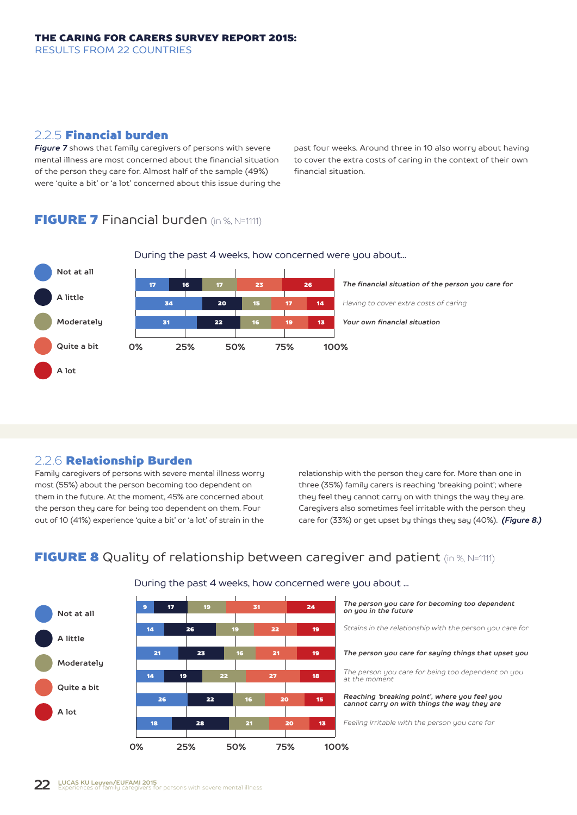RESULTS FROM 22 COUNTRIES

#### 2.2.5 Financial burden

*Figure 7* shows that family caregivers of persons with severe mental illness are most concerned about the financial situation of the person they care for. Almost half of the sample (49%) were 'quite a bit' or 'a lot' concerned about this issue during the

past four weeks. Around three in 10 also worry about having to cover the extra costs of caring in the context of their own financial situation.

## FIGURE 7 Financial burden (in %, N=1111)



During the past 4 weeks, how concerned were you about...

## 2.2.6 Relationship Burden

Family caregivers of persons with severe mental illness worry most (55%) about the person becoming too dependent on them in the future. At the moment, 45% are concerned about the person they care for being too dependent on them. Four out of 10 (41%) experience 'quite a bit' or 'a lot' of strain in the relationship with the person they care for. More than one in three (35%) family carers is reaching 'breaking point'; where they feel they cannot carry on with things the way they are. Caregivers also sometimes feel irritable with the person they care for (33%) or get upset by things they say (40%). *(Figure 8.)*

# **FIGURE 8** Quality of relationship between caregiver and patient (in %, N=1111)



#### During the past 4 weeks, how concerned were you about ...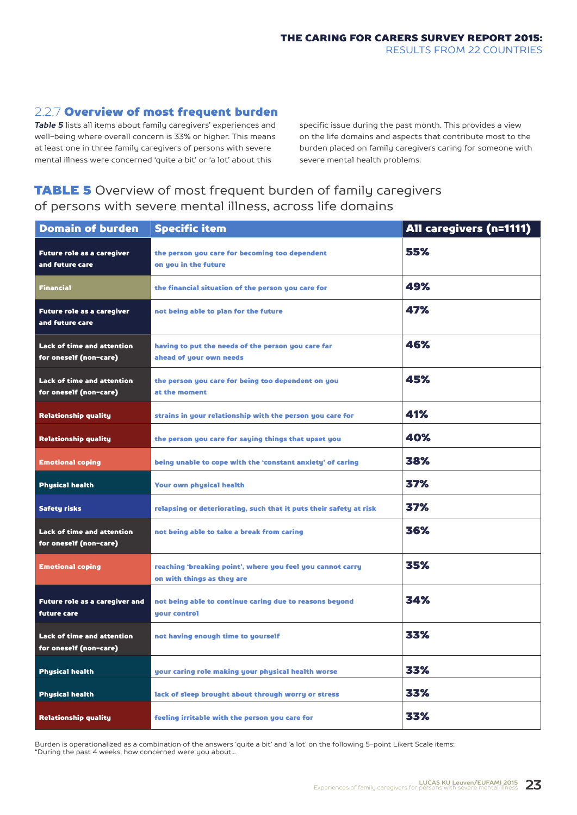## 2.2.7 Overview of most frequent burden

*Table 5* lists all items about family caregivers' experiences and well-being where overall concern is 33% or higher. This means at least one in three family caregivers of persons with severe mental illness were concerned 'quite a bit' or 'a lot' about this

specific issue during the past month. This provides a view on the life domains and aspects that contribute most to the burden placed on family caregivers caring for someone with severe mental health problems.

## **TABLE 5** Overview of most frequent burden of family caregivers of persons with severe mental illness, across life domains

| <b>Domain of burden</b>                                     | <b>Specific item</b>                                                                     | All caregivers (n=1111) |
|-------------------------------------------------------------|------------------------------------------------------------------------------------------|-------------------------|
| <b>Future role as a caregiver</b><br>and future care        | the person you care for becoming too dependent<br>on you in the future                   | 55%                     |
| <b>Financial</b>                                            | the financial situation of the person you care for                                       | 49%                     |
| Future role as a caregiver<br>and future care               | not being able to plan for the future                                                    | 47%                     |
| <b>Lack of time and attention</b><br>for oneself (non-care) | having to put the needs of the person you care far<br>ahead of your own needs            | 46%                     |
| <b>Lack of time and attention</b><br>for oneself (non-care) | the person you care for being too dependent on you<br>at the moment                      | 45%                     |
| <b>Relationship quality</b>                                 | strains in your relationship with the person you care for                                | 41%                     |
| <b>Relationship quality</b>                                 | the person you care for saying things that upset you                                     | 40%                     |
| <b>Emotional coping</b>                                     | being unable to cope with the 'constant anxiety' of caring                               | 38%                     |
| <b>Physical health</b>                                      | <b>Your own physical health</b>                                                          | 37%                     |
| <b>Safety risks</b>                                         | relapsing or deteriorating, such that it puts their safety at risk                       | 37%                     |
| Lack of time and attention<br>for oneself (non-care)        | not being able to take a break from caring                                               | 36%                     |
| <b>Emotional coping</b>                                     | reaching 'breaking point', where you feel you cannot carry<br>on with things as they are | 35%                     |
| Future role as a caregiver and<br><b>future care</b>        | not being able to continue caring due to reasons beyond<br>your control                  | 34%                     |
| <b>Lack of time and attention</b><br>for oneself (non-care) | not having enough time to yourself                                                       | 33%                     |
| <b>Physical health</b>                                      | your caring role making your physical health worse                                       | 33%                     |
| <b>Physical health</b>                                      | lack of sleep brought about through worry or stress                                      | 33%                     |
| <b>Relationship quality</b>                                 | feeling irritable with the person you care for                                           | 33%                     |

Burden is operationalized as a combination of the answers 'quite a bit' and 'a lot' on the following 5-point Likert Scale items: "During the past 4 weeks, how concerned were you about...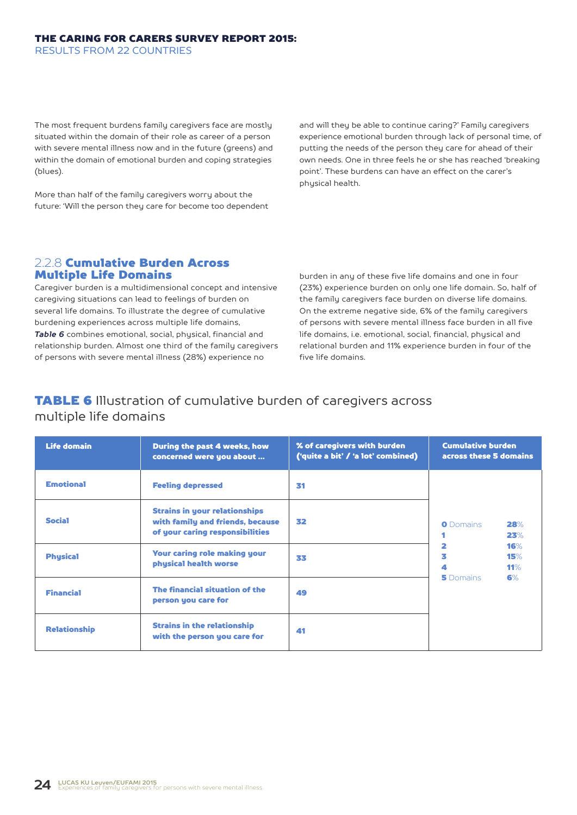The most frequent burdens family caregivers face are mostly situated within the domain of their role as career of a person with severe mental illness now and in the future (greens) and within the domain of emotional burden and coping strategies (blues).

More than half of the family caregivers worry about the future: 'Will the person they care for become too dependent and will they be able to continue caring?' Family caregivers experience emotional burden through lack of personal time, of putting the needs of the person they care for ahead of their own needs. One in three feels he or she has reached 'breaking point'. These burdens can have an effect on the carer's physical health.

#### 2.2.8 Cumulative Burden Across Multiple Life Domains

Caregiver burden is a multidimensional concept and intensive caregiving situations can lead to feelings of burden on several life domains. To illustrate the degree of cumulative burdening experiences across multiple life domains, *Table 6* combines emotional, social, physical, financial and relationship burden. Almost one third of the family caregivers of persons with severe mental illness (28%) experience no

burden in any of these five life domains and one in four (23%) experience burden on only one life domain. So, half of the family caregivers face burden on diverse life domains. On the extreme negative side, 6% of the family caregivers of persons with severe mental illness face burden in all five life domains, i.e. emotional, social, financial, physical and relational burden and 11% experience burden in four of the five life domains.

## **TABLE 6** Illustration of cumulative burden of caregivers across multiple life domains

| <b>Life domain</b>  | During the past 4 weeks, how<br>concerned were you about                                                    | % of caregivers with burden<br>('quite a bit' / 'a lot' combined) | <b>Cumulative burden</b><br>across these 5 domains |
|---------------------|-------------------------------------------------------------------------------------------------------------|-------------------------------------------------------------------|----------------------------------------------------|
| <b>Emotional</b>    | <b>Feeling depressed</b>                                                                                    | 31                                                                |                                                    |
| <b>Social</b>       | <b>Strains in your relationships</b><br>with family and friends, because<br>of your caring responsibilities | 32                                                                | <b>O</b> Domains<br>28%<br>23%                     |
| <b>Physical</b>     | <b>Your caring role making your</b><br>physical health worse                                                | 33                                                                | 2<br>16%<br>3<br>15%<br>4<br>11%                   |
| <b>Financial</b>    | The financial situation of the<br>person you care for                                                       | 49                                                                | <b>5</b> Domains<br>6%                             |
| <b>Relationship</b> | <b>Strains in the relationship</b><br>with the person you care for                                          | 41                                                                |                                                    |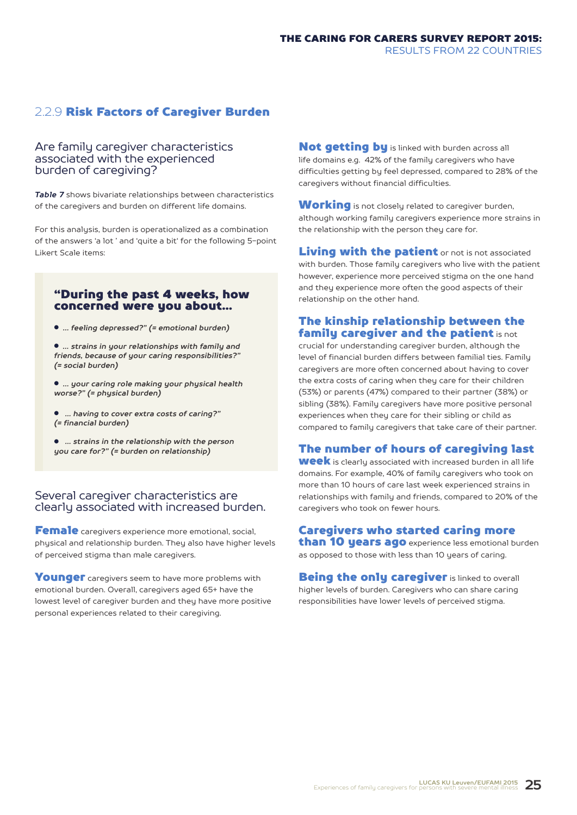## 2.2.9 Risk Factors of Caregiver Burden

#### Are family caregiver characteristics associated with the experienced burden of caregiving?

*Table 7* shows bivariate relationships between characteristics of the caregivers and burden on different life domains.

For this analysis, burden is operationalized as a combination of the answers 'a lot ' and 'quite a bit' for the following 5-point Likert Scale items:

#### "During the past 4 weeks, how concerned were you about...

● *●… feeling depressed?" (= emotional burden)*

● *●… strains in your relationships with family and friends, because of your caring responsibilities?" (= social burden)*

● *●… your caring role making your physical health worse?" (= physical burden)*

● *●●… having to cover extra costs of caring?" (= financial burden)*

● *●●… strains in the relationship with the person you care for?" (= burden on relationship)* 

#### Several caregiver characteristics are clearly associated with increased burden.

Female caregivers experience more emotional, social, physical and relationship burden. They also have higher levels of perceived stigma than male caregivers.

Younger caregivers seem to have more problems with emotional burden. Overall, caregivers aged 65+ have the lowest level of caregiver burden and they have more positive personal experiences related to their caregiving.

Not getting by is linked with burden across all life domains e.g. 42% of the family caregivers who have difficulties getting by feel depressed, compared to 28% of the caregivers without financial difficulties.

**Working** is not closely related to caregiver burden, although working family caregivers experience more strains in the relationship with the person they care for.

Living with the patient or not is not associated with burden. Those family caregivers who live with the patient however, experience more perceived stigma on the one hand and they experience more often the good aspects of their relationship on the other hand.

#### The kinship relationship between the family caregiver and the patient is not

crucial for understanding caregiver burden, although the level of financial burden differs between familial ties. Family caregivers are more often concerned about having to cover the extra costs of caring when they care for their children (53%) or parents (47%) compared to their partner (38%) or sibling (38%). Family caregivers have more positive personal experiences when they care for their sibling or child as compared to family caregivers that take care of their partner.

## The number of hours of caregiving last

week is clearly associated with increased burden in all life domains. For example, 40% of family caregivers who took on more than 10 hours of care last week experienced strains in relationships with family and friends, compared to 20% of the caregivers who took on fewer hours.

#### Caregivers who started caring more

than 10 years ago experience less emotional burden as opposed to those with less than 10 years of caring.

Being the only caregiver is linked to overall higher levels of burden. Caregivers who can share caring responsibilities have lower levels of perceived stigma.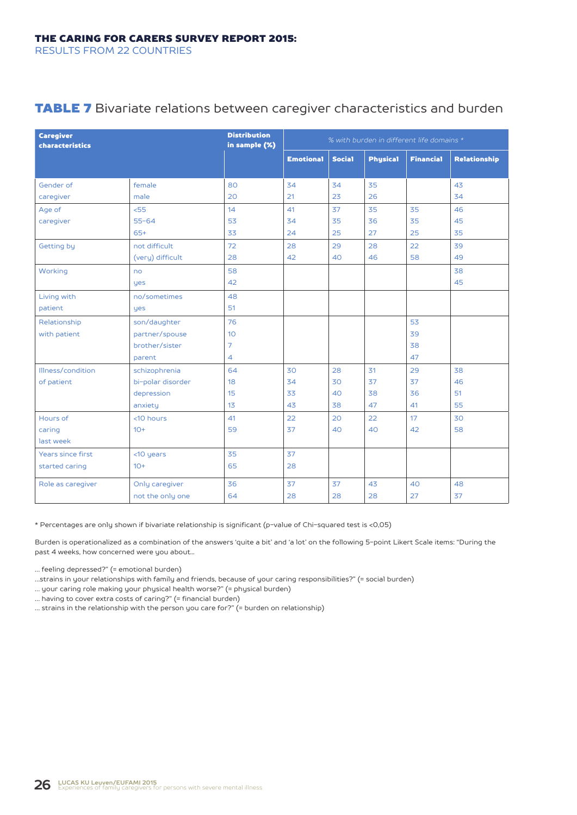## **TABLE 7** Bivariate relations between caregiver characteristics and burden

| <b>Caregiver</b><br>characteristics | <b>Distribution</b><br>in sample (%) |                | % with burden in different life domains * |               |                 |                  |              |
|-------------------------------------|--------------------------------------|----------------|-------------------------------------------|---------------|-----------------|------------------|--------------|
|                                     |                                      |                | <b>Emotional</b>                          | <b>Social</b> | <b>Physical</b> | <b>Financial</b> | Relationship |
|                                     |                                      |                |                                           |               |                 |                  |              |
| Gender of                           | female                               | 80             | 34                                        | 34            | 35              |                  | 43           |
| caregiver                           | male                                 | 20             | 21                                        | 23            | 26              |                  | 34           |
| Age of                              | 55 <sub>5</sub>                      | 14             | 41                                        | 37            | 35              | 35               | 46           |
| caregiver                           | $55 - 64$                            | 53             | 34                                        | 35            | 36              | 35               | 45           |
|                                     | $65+$                                | 33             | 24                                        | 25            | 27              | 25               | 35           |
| Getting by                          | not difficult                        | 72             | 28                                        | 29            | 28              | 22               | 39           |
|                                     | (very) difficult                     | 28             | 42                                        | 40            | 46              | 58               | 49           |
| Working                             | no                                   | 58             |                                           |               |                 |                  | 38           |
|                                     | yes                                  | 42             |                                           |               |                 |                  | 45           |
| Living with                         | no/sometimes                         | 48             |                                           |               |                 |                  |              |
| patient                             | yes                                  | 51             |                                           |               |                 |                  |              |
| Relationship                        | son/daughter                         | 76             |                                           |               |                 | 53               |              |
| with patient                        | partner/spouse                       | 10             |                                           |               |                 | 39               |              |
|                                     | brother/sister                       | $\overline{7}$ |                                           |               |                 | 38               |              |
|                                     | parent                               | 4              |                                           |               |                 | 47               |              |
| Illness/condition                   | schizophrenia                        | 64             | 30                                        | 28            | 31              | 29               | 38           |
| of patient                          | bi-polar disorder                    | 18             | 34                                        | 30            | 37              | 37               | 46           |
|                                     | depression                           | 15             | 33                                        | 40            | 38              | 36               | 51           |
|                                     | anxiety                              | 13             | 43                                        | 38            | 47              | 41               | 55           |
| Hours of                            | <10 hours                            | 41             | 22                                        | 20            | 22              | 17               | 30           |
| caring                              | $10+$                                | 59             | 37                                        | 40            | 40              | 42               | 58           |
| last week                           |                                      |                |                                           |               |                 |                  |              |
| Years since first                   | <10 years                            | 35             | 37                                        |               |                 |                  |              |
| started caring                      | $10+$                                | 65             | 28                                        |               |                 |                  |              |
| Role as caregiver                   | Only caregiver                       | 36             | 37                                        | 37            | 43              | 40               | 48           |
|                                     | not the only one                     | 64             | 28                                        | 28            | 28              | 27               | 37           |

\* Percentages are only shown if bivariate relationship is significant (p-value of Chi-squared test is <0,05)

Burden is operationalized as a combination of the answers 'quite a bit' and 'a lot' on the following 5-point Likert Scale items: "During the past 4 weeks, how concerned were you about...

… feeling depressed?" (= emotional burden)

…strains in your relationships with family and friends, because of your caring responsibilities?" (= social burden)

… your caring role making your physical health worse?" (= physical burden)

… having to cover extra costs of caring?" (= financial burden)

… strains in the relationship with the person you care for?" (= burden on relationship)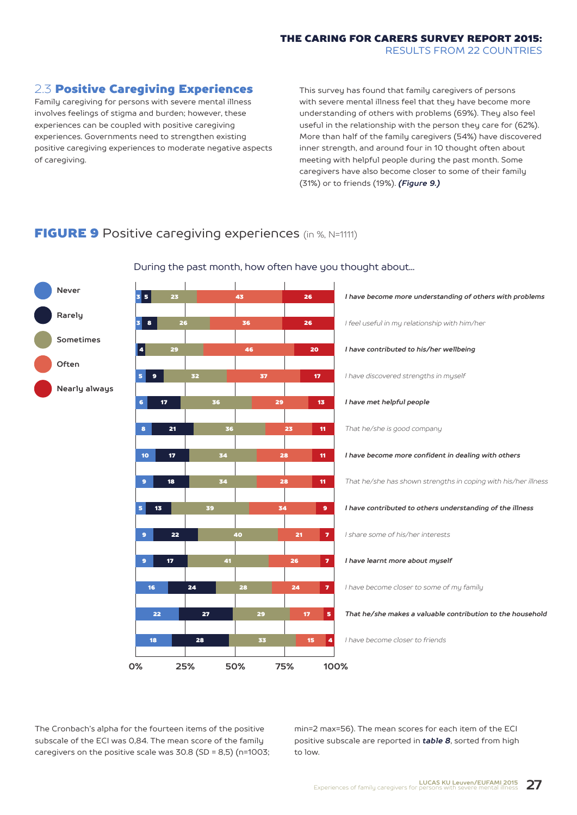### 2.3 Positive Caregiving Experiences

Family caregiving for persons with severe mental illness involves feelings of stigma and burden; however, these experiences can be coupled with positive caregiving experiences. Governments need to strengthen existing positive caregiving experiences to moderate negative aspects of caregiving.

This survey has found that family caregivers of persons with severe mental illness feel that they have become more understanding of others with problems (69%). They also feel useful in the relationship with the person they care for (62%). More than half of the family caregivers (54%) have discovered inner strength, and around four in 10 thought often about meeting with helpful people during the past month. Some caregivers have also become closer to some of their family (31%) or to friends (19%). *(Figure 9.)*

## **FIGURE 9** Positive caregiving experiences (in %, N=1111)



During the past month, how often have you thought about...

The Cronbach's alpha for the fourteen items of the positive subscale of the ECI was 0,84. The mean score of the family caregivers on the positive scale was 30.8 (SD = 8,5) (n=1003; min=2 max=56). The mean scores for each item of the ECI positive subscale are reported in *table 8*, sorted from high to low.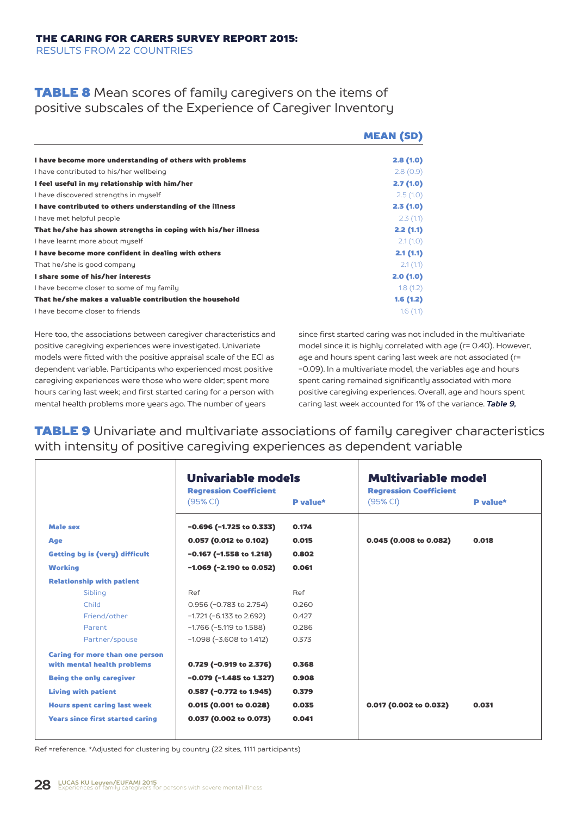## **TABLE 8** Mean scores of family caregivers on the items of positive subscales of the Experience of Caregiver Inventory

|                                                                | <b>MEAN (SD)</b> |
|----------------------------------------------------------------|------------------|
| I have become more understanding of others with problems       | 2.8(1.0)         |
| I have contributed to his/her wellbeing                        | 2.8(0.9)         |
| I feel useful in my relationship with him/her                  | 2.7(1.0)         |
| I have discovered strengths in myself                          | 2.5(1.0)         |
| I have contributed to others understanding of the illness      | 2.3(1.0)         |
| I have met helpful people                                      | 2.3(1.1)         |
| That he/she has shown strengths in coping with his/her illness | 2.2(1.1)         |
| I have learnt more about muself                                | 2.1(1.0)         |
| I have become more confident in dealing with others            | 2.1(1.1)         |
| That he/she is good company                                    | 2.1(1.1)         |
| I share some of his/her interests                              | 2.0(1.0)         |
| I have become closer to some of my family                      | 1.8(1.2)         |
| That he/she makes a valuable contribution the household        | 1.6(1.2)         |
| I have become closer to friends                                | 1.6(1.1)         |

Here too, the associations between caregiver characteristics and positive caregiving experiences were investigated. Univariate models were fitted with the positive appraisal scale of the ECI as dependent variable. Participants who experienced most positive caregiving experiences were those who were older; spent more hours caring last week; and first started caring for a person with mental health problems more years ago. The number of years

since first started caring was not included in the multivariate model since it is highly correlated with age (r= 0.40). However, age and hours spent caring last week are not associated (r= -0.09). In a multivariate model, the variables age and hours spent caring remained significantly associated with more positive caregiving experiences. Overall, age and hours spent caring last week accounted for 1% of the variance. *Table 9,*

## **TABLE 9** Univariate and multivariate associations of family caregiver characteristics with intensity of positive caregiving experiences as dependent variable

|                                         | Univariable models<br><b>Regression Coefficient</b><br>(95% CI) | P value* | <b>Multivariable model</b><br><b>Regression Coefficient</b><br>(95% CI)<br>P value* |       |  |  |  |
|-----------------------------------------|-----------------------------------------------------------------|----------|-------------------------------------------------------------------------------------|-------|--|--|--|
| <b>Male sex</b>                         | $-0.696$ (-1.725 to 0.333)                                      | 0.174    |                                                                                     |       |  |  |  |
| Age                                     | 0.057 (0.012 to 0.102)                                          | 0.015    | 0.045 (0.008 to 0.082)                                                              | 0.018 |  |  |  |
| <b>Getting by is (very) difficult</b>   | $-0.167$ ( $-1.558$ to 1.218)                                   | 0.802    |                                                                                     |       |  |  |  |
| <b>Working</b>                          | $-1.069$ (-2.190 to 0.052)                                      | 0.061    |                                                                                     |       |  |  |  |
| <b>Relationship with patient</b>        |                                                                 |          |                                                                                     |       |  |  |  |
| Sibling                                 | Ref                                                             | Ref      |                                                                                     |       |  |  |  |
| Child                                   | 0.956 (-0.783 to 2.754)                                         | 0.260    |                                                                                     |       |  |  |  |
| Friend/other                            | $-1.721$ ( $-6.133$ to 2.692)                                   | 0.427    |                                                                                     |       |  |  |  |
| Parent                                  | $-1.766$ ( $-5.119$ to 1.588)                                   | 0.286    |                                                                                     |       |  |  |  |
| Partner/spouse                          | $-1.098$ ( $-3.608$ to 1.412)                                   | 0.373    |                                                                                     |       |  |  |  |
| <b>Caring for more than one person</b>  |                                                                 |          |                                                                                     |       |  |  |  |
| with mental health problems             | 0.729 (-0.919 to 2.376)                                         | 0.368    |                                                                                     |       |  |  |  |
| <b>Being the only caregiver</b>         | $-0.079$ (-1.485 to 1.327)                                      | 0.908    |                                                                                     |       |  |  |  |
| <b>Living with patient</b>              | 0.587 (-0.772 to 1.945)                                         | 0.379    |                                                                                     |       |  |  |  |
| <b>Hours spent caring last week</b>     | 0.015 (0.001 to 0.028)                                          | 0.035    | 0.017 (0.002 to 0.032)                                                              | 0.031 |  |  |  |
| <b>Years since first started caring</b> | $0.037$ (0.002 to 0.073)                                        | 0.041    |                                                                                     |       |  |  |  |
|                                         |                                                                 |          |                                                                                     |       |  |  |  |

Ref =reference. \*Adjusted for clustering by country (22 sites, 1111 participants)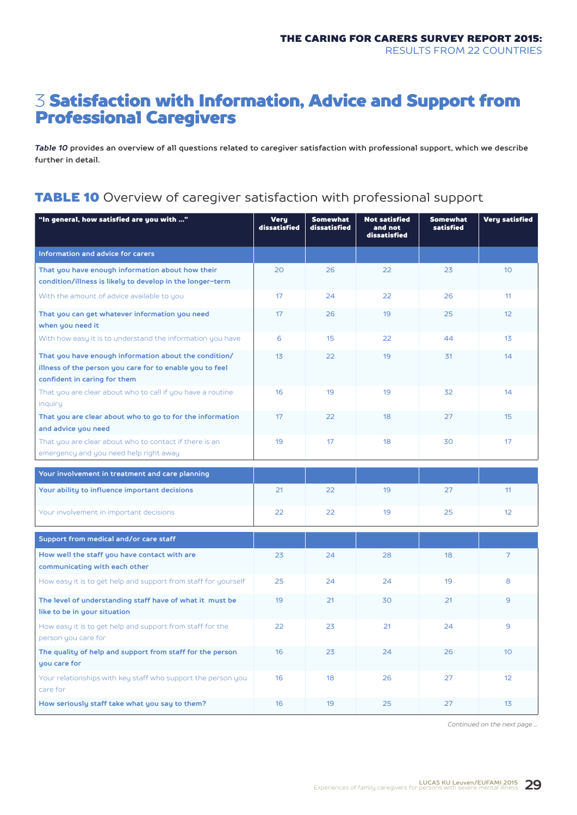# 3 Satisfaction with Information, Advice and Support from Professional Caregivers

*Table 10* **provides an overview of all questions related to caregiver satisfaction with professional support, which we describe further in detail.**

## TABLE 10 Overview of caregiver satisfaction with professional support

| "In general, how satisfied are you with "                                                                                                         | <b>Very</b><br>dissatisfied | <b>Somewhat</b><br>dissatisfied | <b>Not satisfied</b><br>and not<br>dissatisfied | <b>Somewhat</b><br>satisfied | <b>Very satisfied</b> |
|---------------------------------------------------------------------------------------------------------------------------------------------------|-----------------------------|---------------------------------|-------------------------------------------------|------------------------------|-----------------------|
| Information and advice for carers                                                                                                                 |                             |                                 |                                                 |                              |                       |
| That you have enough information about how their<br>condition/illness is likely to develop in the longer-term                                     | 20                          | 26                              | 22                                              | 23                           | 10 <sup>°</sup>       |
| With the amount of advice available to you                                                                                                        | 17                          | 24                              | 22                                              | 26                           | 11                    |
| That you can get whatever information you need<br>when you need it                                                                                | 17                          | 26                              | 19                                              | 25                           | 12                    |
| With how easy it is to understand the information you have                                                                                        | 6                           | 15                              | 22                                              | 44                           | 1 <sub>3</sub>        |
| That you have enough information about the condition/<br>illness of the person you care for to enable you to feel<br>confident in caring for them | 13                          | 22                              | 19                                              | 31                           | 14                    |
| That you are clear about who to call if you have a routine<br>inquiry                                                                             | 16                          | 19                              | 19                                              | 32                           | 14                    |
| That you are clear about who to go to for the information<br>and advice you need                                                                  | 17                          | 22                              | 18                                              | 27                           | 15                    |
| That you are clear about who to contact if there is an<br>emergency and you need help right away                                                  | 19                          | 17                              | 18                                              | 30                           | 17                    |
| Your involvement in treatment and care planning                                                                                                   |                             |                                 |                                                 |                              |                       |
| Your ability to influence important decisions                                                                                                     | 21                          | 22                              | 19                                              | 27                           | 11                    |
| Your involvement in important decisions                                                                                                           | 22                          | 22                              | 19                                              | 25                           | 12                    |
| Support from medical and/or care staff                                                                                                            |                             |                                 |                                                 |                              |                       |
| How well the staff you have contact with are<br>communicating with each other                                                                     | 23                          | 24                              | 28                                              | 18                           | $\overline{7}$        |
| How easy it is to get help and support from staff for yourself                                                                                    | 25                          | 24                              | 24                                              | 19                           | 8                     |
| The level of understanding staff have of what it must be<br>like to be in your situation                                                          | 19                          | 21                              | 30                                              | 21                           | $\overline{9}$        |
| How easy it is to get help and support from staff for the<br>person you care for                                                                  | 22                          | 23                              | 21                                              | 24                           | $\overline{9}$        |
| The quality of help and support from staff for the person<br>you care for                                                                         | 16                          | 23                              | 24                                              | 26                           | 10                    |
| Your relationships with key staff who support the person you<br>care for                                                                          | 16                          | 18                              | 26                                              | 27                           | 12                    |
| How seriously staff take what you say to them?                                                                                                    | 16                          | 19                              | 25                                              | 27                           | 13                    |

*Continued on the next page ...*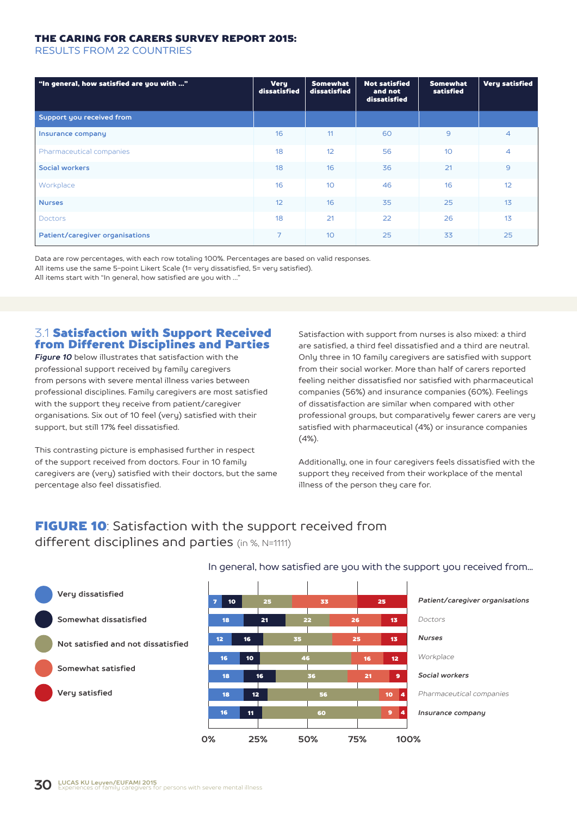#### THE CARING FOR CARERS SURVEY REPORT 2015:

RESULTS FROM 22 COUNTRIES

| "In general, how satisfied are you with " | <b>Very</b><br>dissatisfied | <b>Somewhat</b><br>dissatisfied | <b>Not satisfied</b><br>and not<br>dissatisfied | <b>Somewhat</b><br>satisfied | <b>Very satisfied</b> |
|-------------------------------------------|-----------------------------|---------------------------------|-------------------------------------------------|------------------------------|-----------------------|
| Support you received from                 |                             |                                 |                                                 |                              |                       |
| Insurance company                         | 16                          | 11                              | 60                                              | $\mathbf{9}$                 | $\overline{4}$        |
| Pharmaceutical companies                  | 18                          | 12                              | 56                                              | 10                           | $\overline{4}$        |
| Social workers                            | 18                          | 16                              | 36                                              | 21                           | $\overline{9}$        |
| Workplace                                 | 16                          | 10                              | 46                                              | 16                           | 12                    |
| <b>Nurses</b>                             | 12                          | 16                              | 35                                              | 25                           | 13                    |
| <b>Doctors</b>                            | 18                          | 21                              | 22                                              | 26                           | 13                    |
| Patient/caregiver organisations           | $\overline{7}$              | 10                              | 25                                              | 33                           | 25                    |

Data are row percentages, with each row totaling 100%. Percentages are based on valid responses. All items use the same 5-point Likert Scale (1= very dissatisfied, 5= very satisfied). All items start with "In general, how satisfied are you with ..."

## 3.1 Satisfaction with Support Received from Different Disciplines and Parties

*Figure 10* below illustrates that satisfaction with the professional support received by family caregivers from persons with severe mental illness varies between professional disciplines. Family caregivers are most satisfied with the support they receive from patient/caregiver organisations. Six out of 10 feel (very) satisfied with their support, but still 17% feel dissatisfied.

This contrasting picture is emphasised further in respect of the support received from doctors. Four in 10 family caregivers are (very) satisfied with their doctors, but the same percentage also feel dissatisfied.

Satisfaction with support from nurses is also mixed: a third are satisfied, a third feel dissatisfied and a third are neutral. Only three in 10 family caregivers are satisfied with support from their social worker. More than half of carers reported feeling neither dissatisfied nor satisfied with pharmaceutical companies (56%) and insurance companies (60%). Feelings of dissatisfaction are similar when compared with other professional groups, but comparatively fewer carers are very satisfied with pharmaceutical (4%) or insurance companies (4%).

Additionally, one in four caregivers feels dissatisfied with the support they received from their workplace of the mental illness of the person they care for.

## **FIGURE 10:** Satisfaction with the support received from different disciplines and parties (in %, N=1111)

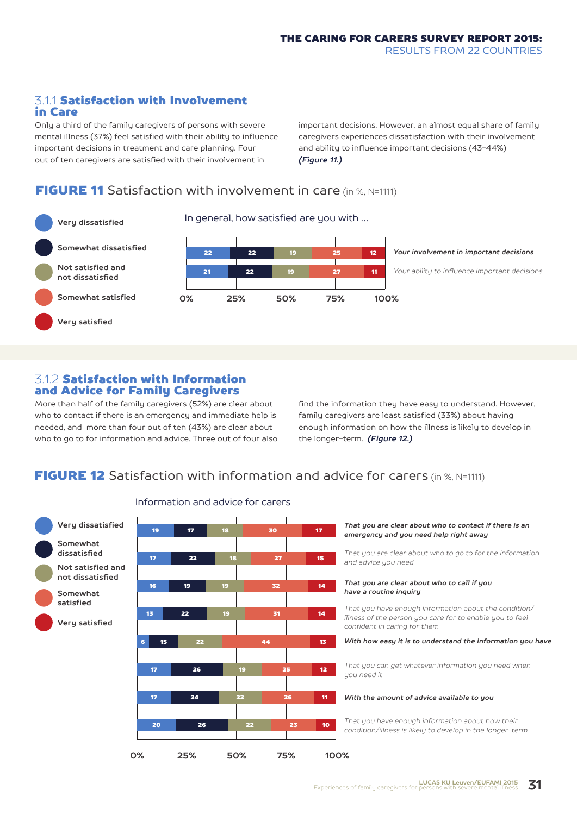## 3.1.1 Satisfaction with Involvement in Care

Only a third of the family caregivers of persons with severe mental illness (37%) feel satisfied with their ability to influence important decisions in treatment and care planning. Four out of ten caregivers are satisfied with their involvement in

important decisions. However, an almost equal share of family caregivers experiences dissatisfaction with their involvement and ability to influence important decisions (43-44%) *(Figure 11.)*

## **FIGURE 11** Satisfaction with involvement in care (in %, N=1111)



**312 Satisfaction with Information** and Advice for Family Caregivers

More than half of the family caregivers (52%) are clear about who to contact if there is an emergency and immediate help is needed, and more than four out of ten (43%) are clear about who to go to for information and advice. Three out of four also find the information they have easy to understand. However, family caregivers are least satisfied (33%) about having enough information on how the illness is likely to develop in the longer-term. *(Figure 12.)*

## **FIGURE 12** Satisfaction with information and advice for carers (in %, N=1111)



#### Information and advice for carers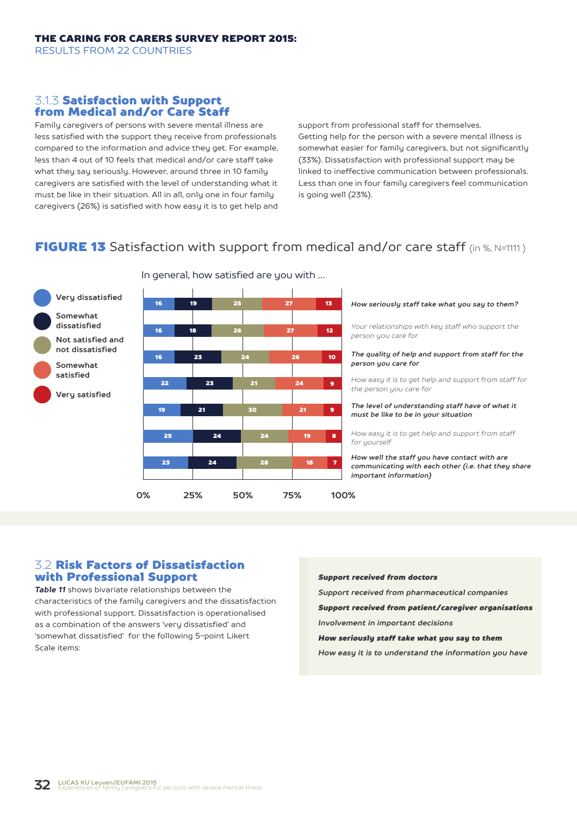### 3.1.3 Satisfaction with Support from Medical and/or Care Staff

Family caregivers of persons with severe mental illness are less satisfied with the support they receive from professionals compared to the information and advice they get. For example, less than 4 out of 10 feels that medical and/or care staff take what they say seriously. However, around three in 10 family caregivers are satisfied with the level of understanding what it must be like in their situation. All in all, only one in four family caregivers (26%) is satisfied with how easy it is to get help and support from professional staff for themselves. Getting help for the person with a severe mental illness is somewhat easier for family caregivers, but not significantly (33%). Dissatisfaction with professional support may be linked to ineffective communication between professionals. Less than one in four family caregivers feel communication is going well (23%).

# **FIGURE 13** Satisfaction with support from medical and/or care staff (in %, N=1111)



#### In general, how satisfied are you with …

#### *How seriously staff take what you say to them?*

*Your relationships with key staff who support the person you care for*

#### *The quality of help and support from staff for the person you care for*

*How easy it is to get help and support from staff for the person you care for*

#### *The level of understanding staff have of what it must be like to be in your situation*

*How easy it is to get help and support from staff for yourself*

*How well the staff you have contact with are communicating with each other (i.e. that they share important information)*

 $\ddot{\phantom{1}}$ 

9

8

7

#### 3.2 Risk Factors of Dissatisfaction with Professional Support

**satisfied**

*Table 11* shows bivariate relationships between the characteristics of the family caregivers and the dissatisfaction with professional support. Dissatisfaction is operationalised as a combination of the answers 'very dissatisfied' and 'somewhat dissatisfied' for the following 5-point Likert Scale items:

#### *Support received from doctors*

*Support received from pharmaceutical companies*

*Support received from patient/caregiver organisations*

*Involvement in important decisions*

#### *How seriously staff take what you say to them*

*How easy it is to understand the information you have*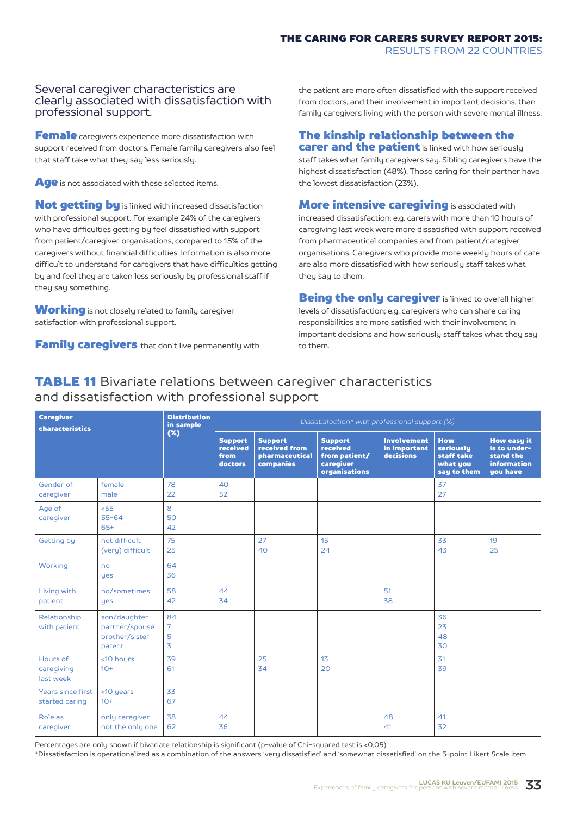#### Several caregiver characteristics are clearly associated with dissatisfaction with professional support.

Female caregivers experience more dissatisfaction with support received from doctors. Female family caregivers also feel that staff take what they say less seriously.

Age is not associated with these selected items.

Not getting by is linked with increased dissatisfaction with professional support. For example 24% of the caregivers who have difficulties getting by feel dissatisfied with support from patient/caregiver organisations, compared to 15% of the caregivers without financial difficulties. Information is also more difficult to understand for caregivers that have difficulties getting by and feel they are taken less seriously by professional staff if they say something.

**Working** is not closely related to family caregiver satisfaction with professional support.

**Family caregivers** that don't live permanently with

and dissatisfaction with professional support

the patient are more often dissatisfied with the support received from doctors, and their involvement in important decisions, than family caregivers living with the person with severe mental illness.

#### The kinship relationship between the **carer and the patient** is linked with how seriously

staff takes what family caregivers say. Sibling caregivers have the highest dissatisfaction (48%). Those caring for their partner have the lowest dissatisfaction (23%).

**More intensive caregiving** is associated with increased dissatisfaction; e.g. carers with more than 10 hours of caregiving last week were more dissatisfied with support received from pharmaceutical companies and from patient/caregiver organisations. Caregivers who provide more weekly hours of care are also more dissatisfied with how seriously staff takes what they say to them.

**Being the only caregiver** is linked to overall higher levels of dissatisfaction; e.g. caregivers who can share caring responsibilities are more satisfied with their involvement in important decisions and how seriously staff takes what they say to them.

#### Caregiver characteristics Support received from doctors Support received from pharmaceutical companies Support received from patient/ caregiver organisations Involvement in important decisions How seriously staff take what you say to them How easy it is to understand the information you have Gender of caregiver female male 78  $22$ 40  $32$ 37  $27$ Age of caregiver  $55$ 55-64 65+ 8  $50$ 42 Getting by not difficult (very) difficult 75  $25$  $27$  $40$ 15  $24$ 33  $4z$ 19  $25$ Working no yes 64 36 Living with patient no/sometimes yes  $58$ 42  $\overline{A}$ 34 **51** 38 Relationship with patient son/daughter partner/spouse brother/sister parent 84 7 5  $\overline{\mathbf{z}}$ 36  $2z$ 48  $30$ Hours of caregiving last week <10 hours  $10+$  $Z<sub>9</sub>$ 61  $25$  $Z_{4}$ 13  $20$ 31 zd Years since first started caring  $<$ 10 years  $10+$  $\overline{z}$ 67 Role as caregiver only caregiver not the only one 38 62 44 36 48  $\overline{41}$  $\overline{41}$  $32$ *Dissatisfaction\* with professional support (%)* Distribution in sample (%)

TABLE 11 Bivariate relations between caregiver characteristics

Percentages are only shown if bivariate relationship is significant (p-value of Chi-squared test is <0,05)

\*Dissatisfaction is operationalized as a combination of the answers 'very dissatisfied' and 'somewhat dissatisfied' on the 5-point Likert Scale item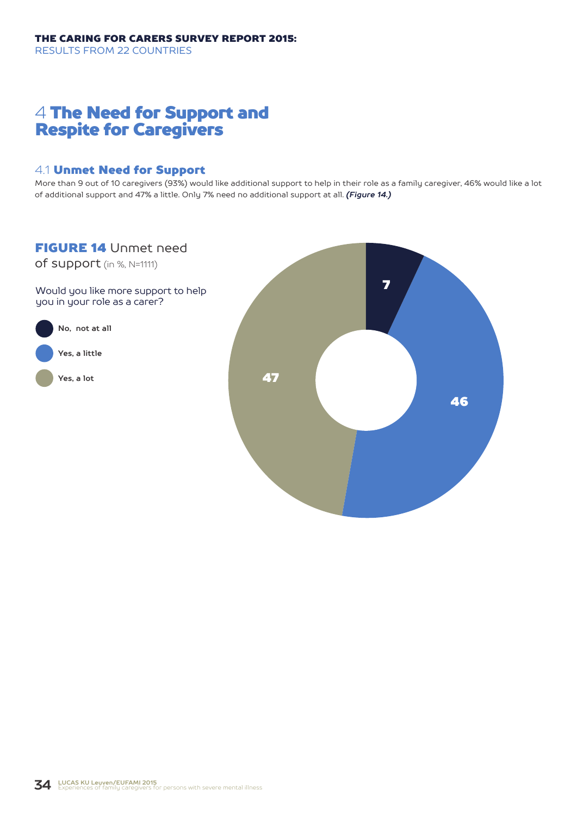# 4 The Need for Support and Respite for Caregivers

### 4.1 Unmet Need for Support

More than 9 out of 10 caregivers (93%) would like additional support to help in their role as a family caregiver, 46% would like a lot of additional support and 47% a little. Only 7% need no additional support at all. *(Figure 14.)*

## FIGURE 14 Unmet need

of support (in %, N=1111)

Would you like more support to help you in your role as a carer?



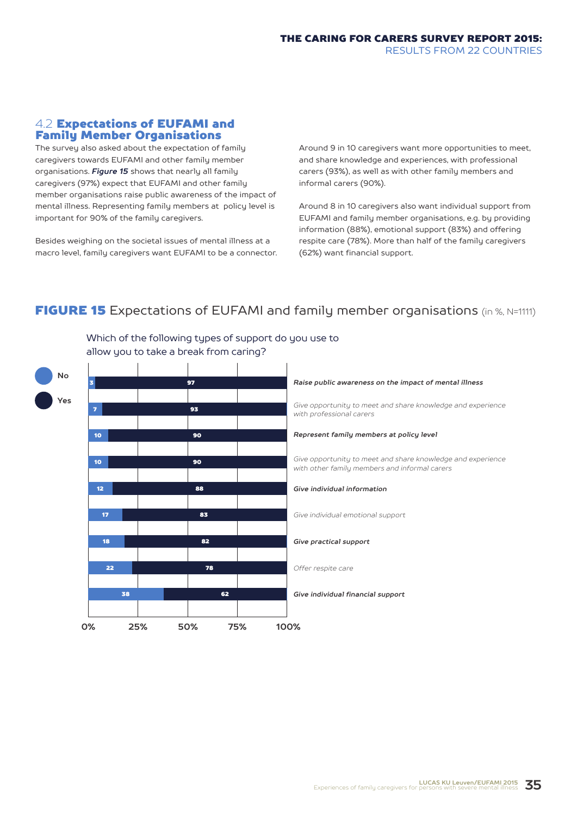#### 4.2 Expectations of EUFAMI and Family Member Organisations

The survey also asked about the expectation of family caregivers towards EUFAMI and other family member organisations. *Figure 15* shows that nearly all family caregivers (97%) expect that EUFAMI and other family member organisations raise public awareness of the impact of mental illness. Representing family members at policy level is important for 90% of the family caregivers.

Besides weighing on the societal issues of mental illness at a macro level, family caregivers want EUFAMI to be a connector. Around 9 in 10 caregivers want more opportunities to meet, and share knowledge and experiences, with professional carers (93%), as well as with other family members and informal carers (90%).

Around 8 in 10 caregivers also want individual support from EUFAMI and family member organisations, e.g. by providing information (88%), emotional support (83%) and offering respite care (78%). More than half of the family caregivers (62%) want financial support.

## **FIGURE 15** Expectations of EUFAMI and family member organisations (in %, N=1111)



Which of the following types of support do you use to allow you to take a break from caring?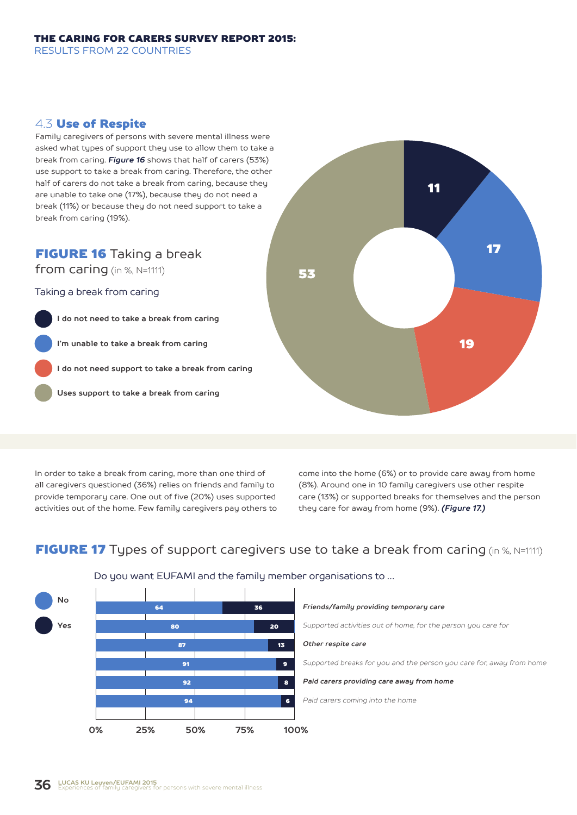#### 4.3 Use of Respite

Family caregivers of persons with severe mental illness were asked what types of support they use to allow them to take a break from caring. *Figure 16* shows that half of carers (53%) use support to take a break from caring. Therefore, the other half of carers do not take a break from caring, because they are unable to take one (17%), because they do not need a break (11%) or because they do not need support to take a break from caring (19%).

## FIGURE 16 Taking a break

from caring (in %, N=1111)

Taking a break from caring

**I do not need to take a break from caring I'm unable to take a break from caring I do not need support to take a break from caring**

**Uses support to take a break from caring**



In order to take a break from caring, more than one third of all caregivers questioned (36%) relies on friends and family to provide temporary care. One out of five (20%) uses supported activities out of the home. Few family caregivers pay others to come into the home (6%) or to provide care away from home (8%). Around one in 10 family caregivers use other respite care (13%) or supported breaks for themselves and the person they care for away from home (9%). *(Figure 17.)*

## **FIGURE 17** Types of support caregivers use to take a break from caring (in %, N=1111)



#### Do you want EUFAMI and the family member organisations to …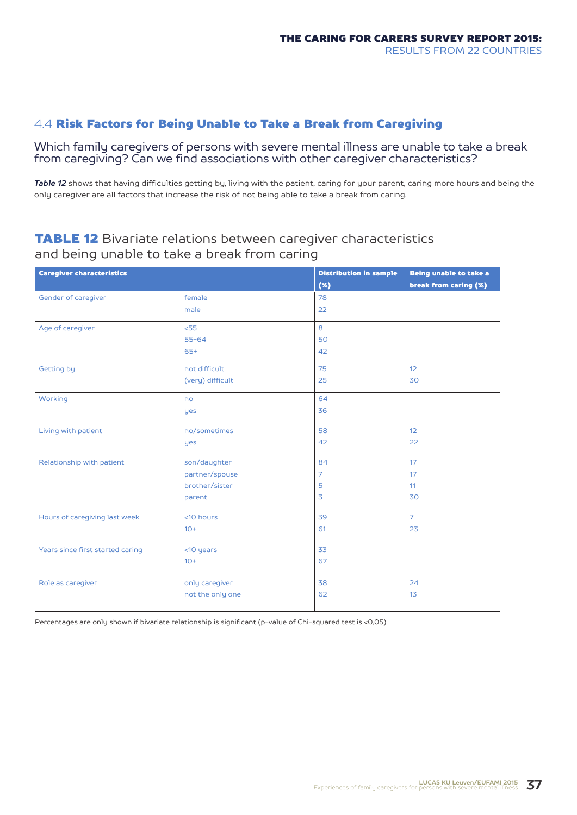## 4.4 Risk Factors for Being Unable to Take a Break from Caregiving

Which family caregivers of persons with severe mental illness are unable to take a break from caregiving? Can we find associations with other caregiver characteristics?

*Table 12* shows that having difficulties getting by, living with the patient, caring for your parent, caring more hours and being the only caregiver are all factors that increase the risk of not being able to take a break from caring.

## **TABLE 12** Bivariate relations between caregiver characteristics and being unable to take a break from caring

| <b>Caregiver characteristics</b> |                  | <b>Distribution in sample</b> | Being unable to take a |
|----------------------------------|------------------|-------------------------------|------------------------|
|                                  |                  | $(\%)$                        | break from caring (%)  |
| Gender of caregiver              | female           | 78                            |                        |
|                                  | male             | 22                            |                        |
| Age of caregiver                 | < 55             | 8                             |                        |
|                                  | $55 - 64$        | 50                            |                        |
|                                  | $65+$            | 42                            |                        |
| Getting by                       | not difficult    | 75                            | 12                     |
|                                  | (very) difficult | 25                            | 30                     |
| Working                          | no               | 64                            |                        |
|                                  | yes              | 36                            |                        |
| Living with patient              | no/sometimes     | 58                            | 12                     |
|                                  | yes              | 42                            | 22                     |
| Relationship with patient        | son/daughter     | 84                            | 17                     |
|                                  | partner/spouse   | $\overline{7}$                | 17                     |
|                                  | brother/sister   | 5                             | 11                     |
|                                  | parent           | $\overline{3}$                | 30                     |
| Hours of caregiving last week    | <10 hours        | 39                            | $\overline{7}$         |
|                                  | $10+$            | 61                            | 23                     |
| Years since first started caring | <10 years        | 33                            |                        |
|                                  | $10+$            | 67                            |                        |
| Role as caregiver                | only caregiver   | 38                            | 24                     |
|                                  | not the only one | 62                            | 13                     |

Percentages are only shown if bivariate relationship is significant (p-value of Chi-squared test is <0,05)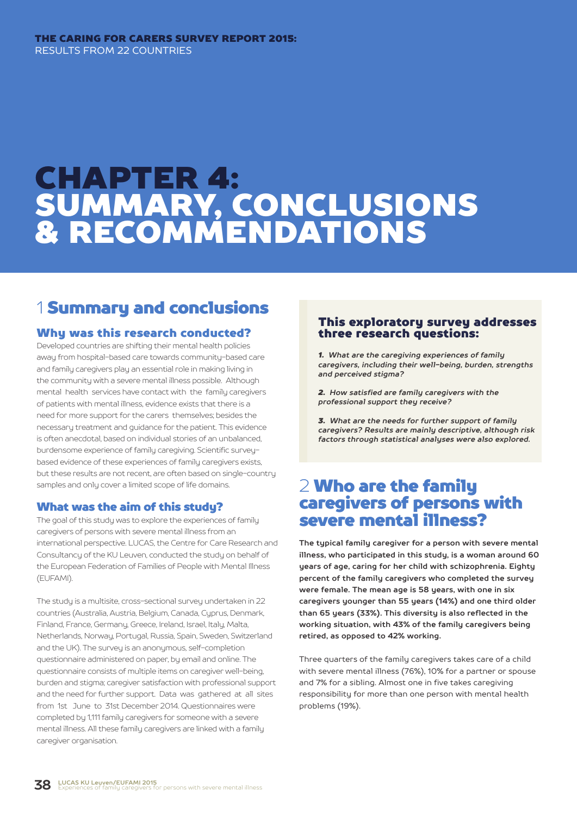#### THE CARING FOR CARERS SURVEY REPORT 2015: THE CARING FOR CARERS SURVEY REPORT 2015: RESULTS FROM 22 COUNTRIES

# CHAPTER 4: SUMMARY, CONCLUSIONS & RECOMMENDATIONS

# 1 Summary and conclusions

#### Why was this research conducted?

Developed countries are shifting their mental health policies away from hospital-based care towards community-based care and family caregivers play an essential role in making living in the community with a severe mental illness possible. Although mental health services have contact with the family caregivers of patients with mental illness, evidence exists that there is a need for more support for the carers themselves; besides the necessary treatment and guidance for the patient. This evidence is often anecdotal, based on individual stories of an unbalanced, burdensome experience of family caregiving. Scientific surveybased evidence of these experiences of family caregivers exists, but these results are not recent, are often based on single-country samples and only cover a limited scope of life domains.

#### What was the aim of this study?

The goal of this study was to explore the experiences of family caregivers of persons with severe mental illness from an international perspective. LUCAS, the Centre for Care Research and Consultancy of the KU Leuven, conducted the study on behalf of the European Federation of Families of People with Mental Illness (EUFAMI).

The studu is a multisite, cross-sectional survey undertaken in 22 countries (Australia, Austria, Belgium, Canada, Cyprus, Denmark, Finland, France, Germany, Greece, Ireland, Israel, Italy, Malta, Netherlands, Norway, Portugal, Russia, Spain, Sweden, Switzerland and the UK). The survey is an anonymous, self-completion questionnaire administered on paper, by email and online. The questionnaire consists of multiple items on caregiver well-being, burden and stigma; caregiver satisfaction with professional support and the need for further support. Data was gathered at all sites from 1st June to 31st December 2014. Questionnaires were completed by 1,111 family caregivers for someone with a severe mental illness. All these family caregivers are linked with a family caregiver organisation.

#### This exploratory survey addresses three research questions:

1. What are the caregiving experiences of family *caregivers, including their well-being, burden, strengths and perceived stigma?*

2. How satisfied are family caregivers with the *professional support they receive?*

**3.** What are the needs for further support of family *caregivers? Results are mainly descriptive, although risk factors through statistical analyses were also explored.*

# 2 Who are the family caregivers of persons with severe mental illness?

**The typical family caregiver for a person with severe mental illness, who participated in this study, is a woman around 60 years of age, caring for her child with schizophrenia. Eighty percent of the family caregivers who completed the survey were female. The mean age is 58 years, with one in six caregivers younger than 55 years (14%) and one third older than 65 years (33%). This diversity is also reflected in the working situation, with 43% of the family caregivers being retired, as opposed to 42% working.**

Three quarters of the family caregivers takes care of a child with severe mental illness (76%), 10% for a partner or spouse and 7% for a sibling. Almost one in five takes caregiving responsibility for more than one person with mental health problems (19%).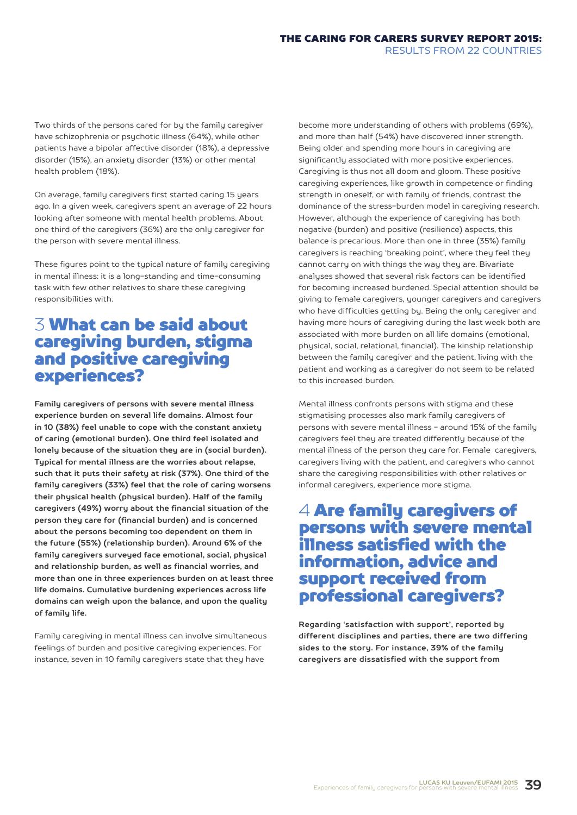Two thirds of the persons cared for by the family caregiver have schizophrenia or psychotic illness (64%), while other patients have a bipolar affective disorder (18%), a depressive disorder (15%), an anxiety disorder (13%) or other mental health problem (18%).

On average, family caregivers first started caring 15 years ago. In a given week, caregivers spent an average of 22 hours looking after someone with mental health problems. About one third of the caregivers (36%) are the only caregiver for the person with severe mental illness.

These figures point to the typical nature of family caregiving in mental illness: it is a long-standing and time-consuming task with few other relatives to share these caregiving responsibilities with.

# 3 What can be said about caregiving burden, stigma and positive caregiving experiences?

**Family caregivers of persons with severe mental illness experience burden on several life domains. Almost four in 10 (38%) feel unable to cope with the constant anxiety of caring (emotional burden). One third feel isolated and lonely because of the situation they are in (social burden). Typical for mental illness are the worries about relapse, such that it puts their safety at risk (37%). One third of the family caregivers (33%) feel that the role of caring worsens their physical health (physical burden). Half of the family caregivers (49%) worry about the financial situation of the person they care for (financial burden) and is concerned about the persons becoming too dependent on them in the future (55%) (relationship burden). Around 6% of the family caregivers surveyed face emotional, social, physical and relationship burden, as well as financial worries, and more than one in three experiences burden on at least three life domains. Cumulative burdening experiences across life domains can weigh upon the balance, and upon the quality of family life.**

Family caregiving in mental illness can involve simultaneous feelings of burden and positive caregiving experiences. For instance, seven in 10 family caregivers state that they have

become more understanding of others with problems (69%), and more than half (54%) have discovered inner strength. Being older and spending more hours in caregiving are significantly associated with more positive experiences. Caregiving is thus not all doom and gloom. These positive caregiving experiences, like growth in competence or finding strength in oneself, or with family of friends, contrast the dominance of the stress-burden model in caregiving research. However, although the experience of caregiving has both negative (burden) and positive (resilience) aspects, this balance is precarious. More than one in three (35%) family caregivers is reaching 'breaking point', where they feel they cannot carry on with things the way they are. Bivariate analyses showed that several risk factors can be identified for becoming increased burdened. Special attention should be giving to female caregivers, younger caregivers and caregivers who have difficulties getting by. Being the only caregiver and having more hours of caregiving during the last week both are associated with more burden on all life domains (emotional, physical, social, relational, financial). The kinship relationship between the family caregiver and the patient, living with the patient and working as a caregiver do not seem to be related to this increased burden.

Mental illness confronts persons with stigma and these stigmatising processes also mark family caregivers of persons with severe mental illness - around 15% of the family caregivers feel they are treated differently because of the mental illness of the person they care for. Female caregivers, caregivers living with the patient, and caregivers who cannot share the caregiving responsibilities with other relatives or informal caregivers, experience more stigma.

# 4 Are family caregivers of persons with severe mental illness satisfied with the information, advice and support received from professional caregivers?

**Regarding 'satisfaction with support', reported by different disciplines and parties, there are two differing sides to the story. For instance, 39% of the family caregivers are dissatisfied with the support from**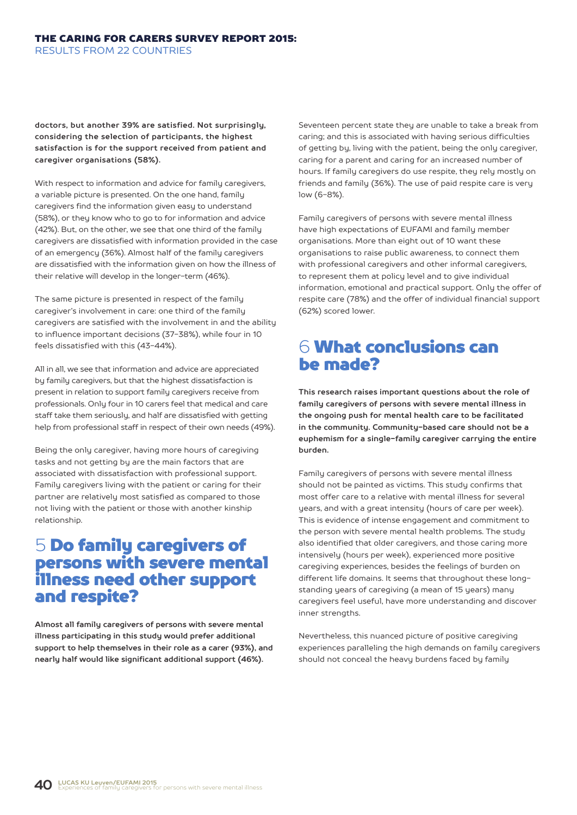**doctors, but another 39% are satisfied. Not surprisingly, considering the selection of participants, the highest satisfaction is for the support received from patient and caregiver organisations (58%).**

With respect to information and advice for family caregivers, a variable picture is presented. On the one hand, family caregivers find the information given easy to understand (58%), or they know who to go to for information and advice (42%). But, on the other, we see that one third of the family caregivers are dissatisfied with information provided in the case of an emergency (36%). Almost half of the family caregivers are dissatisfied with the information given on how the illness of their relative will develop in the longer-term (46%).

The same picture is presented in respect of the family caregiver's involvement in care: one third of the family caregivers are satisfied with the involvement in and the ability to influence important decisions (37-38%), while four in 10 feels dissatisfied with this (43-44%).

All in all, we see that information and advice are appreciated by family caregivers, but that the highest dissatisfaction is present in relation to support family caregivers receive from professionals. Only four in 10 carers feel that medical and care staff take them seriously, and half are dissatisfied with getting help from professional staff in respect of their own needs (49%).

Being the only caregiver, having more hours of caregiving tasks and not getting by are the main factors that are associated with dissatisfaction with professional support. Family caregivers living with the patient or caring for their partner are relatively most satisfied as compared to those not living with the patient or those with another kinship relationship.

# 5 Do family caregivers of persons with severe mental illness need other support and respite?

**Almost all family caregivers of persons with severe mental illness participating in this study would prefer additional support to help themselves in their role as a carer (93%), and nearly half would like significant additional support (46%).**

Seventeen percent state they are unable to take a break from caring; and this is associated with having serious difficulties of getting by, living with the patient, being the only caregiver, caring for a parent and caring for an increased number of hours. If family caregivers do use respite, they rely mostly on friends and family (36%). The use of paid respite care is very low (6-8%).

Family caregivers of persons with severe mental illness have high expectations of EUFAMI and family member organisations. More than eight out of 10 want these organisations to raise public awareness, to connect them with professional caregivers and other informal caregivers, to represent them at policy level and to give individual information, emotional and practical support. Only the offer of respite care (78%) and the offer of individual financial support (62%) scored lower.

# 6 What conclusions can be made?

**This research raises important questions about the role of family caregivers of persons with severe mental illness in the ongoing push for mental health care to be facilitated in the community. Community-based care should not be a euphemism for a single-family caregiver carrying the entire burden.**

Family caregivers of persons with severe mental illness should not be painted as victims. This study confirms that most offer care to a relative with mental illness for several years, and with a great intensity (hours of care per week). This is evidence of intense engagement and commitment to the person with severe mental health problems. The study also identified that older caregivers, and those caring more intensively (hours per week), experienced more positive caregiving experiences, besides the feelings of burden on different life domains. It seems that throughout these longstanding years of caregiving (a mean of 15 years) many caregivers feel useful, have more understanding and discover inner strengths.

Nevertheless, this nuanced picture of positive caregiving experiences paralleling the high demands on family caregivers should not conceal the heavy burdens faced by family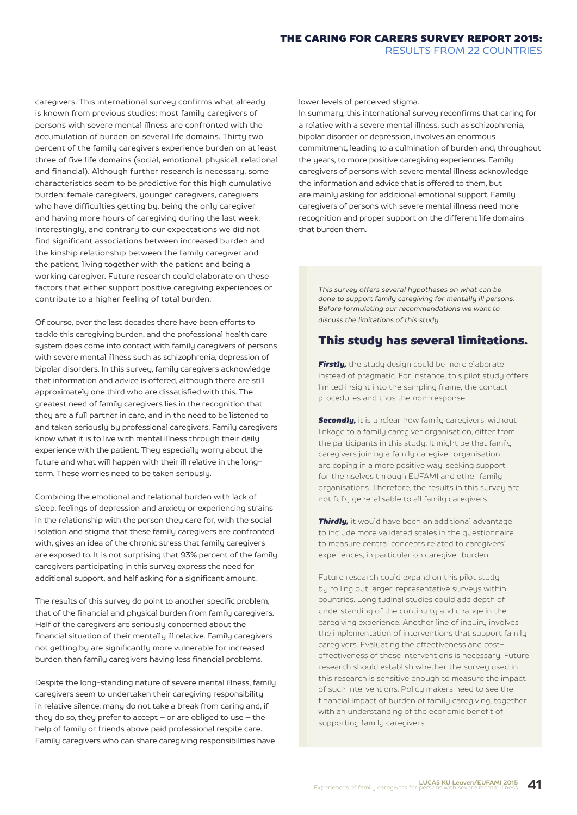#### THE CARING FOR CARERS SURVEY REPORT 2015: RESULTS FROM 22 COUNTRIES

caregivers. This international survey confirms what already is known from previous studies: most family caregivers of persons with severe mental illness are confronted with the accumulation of burden on several life domains. Thirty two percent of the family caregivers experience burden on at least three of five life domains (social, emotional, physical, relational and financial). Although further research is necessary, some characteristics seem to be predictive for this high cumulative burden: female caregivers, younger caregivers, caregivers who have difficulties getting by, being the only caregiver and having more hours of caregiving during the last week. Interestingly, and contrary to our expectations we did not find significant associations between increased burden and the kinship relationship between the family caregiver and the patient, living together with the patient and being a working caregiver. Future research could elaborate on these factors that either support positive caregiving experiences or contribute to a higher feeling of total burden.

Of course, over the last decades there have been efforts to tackle this caregiving burden, and the professional health care system does come into contact with family caregivers of persons with severe mental illness such as schizophrenia, depression of bipolar disorders. In this survey, family caregivers acknowledge that information and advice is offered, although there are still approximately one third who are dissatisfied with this. The greatest need of family caregivers lies in the recognition that they are a full partner in care, and in the need to be listened to and taken seriously by professional caregivers. Family caregivers know what it is to live with mental illness through their daily experience with the patient. They especially worry about the future and what will happen with their ill relative in the longterm. These worries need to be taken seriously.

Combining the emotional and relational burden with lack of sleep, feelings of depression and anxiety or experiencing strains in the relationship with the person they care for, with the social isolation and stigma that these family caregivers are confronted with, gives an idea of the chronic stress that family caregivers are exposed to. It is not surprising that 93% percent of the family caregivers participating in this survey express the need for additional support, and half asking for a significant amount.

The results of this survey do point to another specific problem, that of the financial and physical burden from family caregivers. Half of the caregivers are seriously concerned about the financial situation of their mentally ill relative. Family caregivers not getting by are significantly more vulnerable for increased burden than family caregivers having less financial problems.

Despite the long-standing nature of severe mental illness, family caregivers seem to undertaken their caregiving responsibility in relative silence: many do not take a break from caring and, if they do so, they prefer to accept – or are obliged to use – the help of family or friends above paid professional respite care. Family caregivers who can share caregiving responsibilities have

lower levels of perceived stigma.

In summary, this international survey reconfirms that caring for a relative with a severe mental illness, such as schizophrenia, bipolar disorder or depression, involves an enormous commitment, leading to a culmination of burden and, throughout the years, to more positive caregiving experiences. Family caregivers of persons with severe mental illness acknowledge the information and advice that is offered to them, but are mainly asking for additional emotional support. Family caregivers of persons with severe mental illness need more recognition and proper support on the different life domains that burden them.

*This survey offers several hypotheses on what can be done to support family caregiving for mentally ill persons. Before formulating our recommendations we want to discuss the limitations of this study.*

#### This study has several limitations.

**Firstly**, the study design could be more elaborate instead of pragmatic. For instance, this pilot study offers limited insight into the sampling frame, the contact procedures and thus the non-response.

*Secondly, it is unclear how family caregivers, without* linkage to a family caregiver organisation, differ from the participants in this study. It might be that family caregivers joining a family caregiver organisation are coping in a more positive way, seeking support for themselves through EUFAMI and other family organisations. Therefore, the results in this survey are not fully generalisable to all family caregivers.

*Thirdly,* it would have been an additional advantage to include more validated scales in the questionnaire to measure central concepts related to caregivers' experiences, in particular on caregiver burden.

Future research could expand on this pilot study by rolling out larger, representative surveys within countries. Longitudinal studies could add depth of understanding of the continuity and change in the caregiving experience. Another line of inquiry involves the implementation of interventions that support family caregivers. Evaluating the effectiveness and costeffectiveness of these interventions is necessary. Future research should establish whether the survey used in this research is sensitive enough to measure the impact of such interventions. Policy makers need to see the financial impact of burden of family caregiving, together with an understanding of the economic benefit of supporting family caregivers.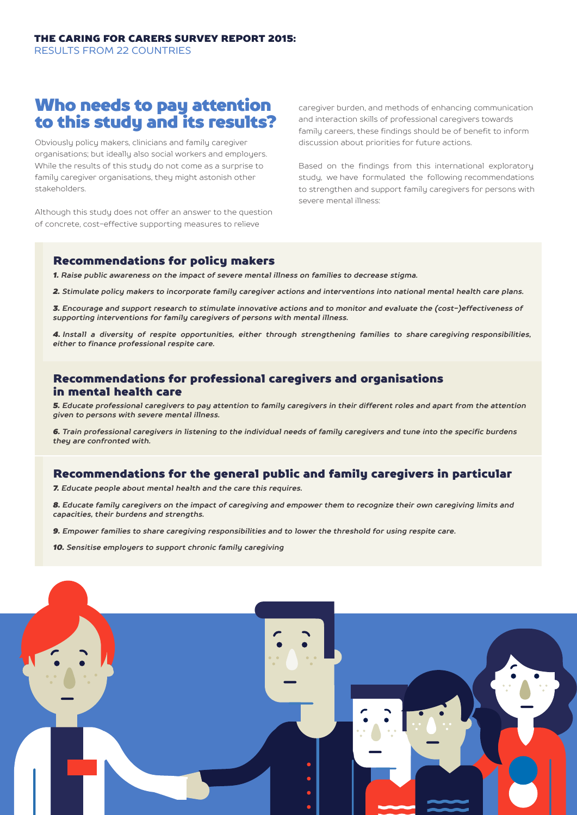# Who needs to pay attention to this study and its results?

Obviously policy makers, clinicians and family caregiver organisations; but ideally also social workers and employers. While the results of this study do not come as a surprise to family caregiver organisations, they might astonish other stakeholders.

Although this study does not offer an answer to the question of concrete, cost-effective supporting measures to relieve

caregiver burden, and methods of enhancing communication and interaction skills of professional caregivers towards family careers, these findings should be of benefit to inform discussion about priorities for future actions.

Based on the findings from this international exploratory study, we have formulated the following recommendations to strengthen and support family caregivers for persons with severe mental illness:

#### Recommendations for policy makers

*1. Raise public awareness on the impact of severe mental illness on families to decrease stigma.*

*2. Stimulate policy makers to incorporate family caregiver actions and interventions into national mental health care plans.*

*3. Encourage and support research to stimulate innovative actions and to monitor and evaluate the (cost-)effectiveness of supporting interventions for family caregivers of persons with mental illness.*

*4. Install a diversity of respite opportunities, either through strengthening families to share caregiving responsibilities, either to finance professional respite care.*

### Recommendations for professional caregivers and organisations in mental health care

*5. Educate professional caregivers to pay attention to family caregivers in their different roles and apart from the attention given to persons with severe mental illness.*

*6. Train professional caregivers in listening to the individual needs of family caregivers and tune into the specific burdens they are confronted with.*

## Recommendations for the general public and family caregivers in particular

*7. Educate people about mental health and the care this requires.*

*8. Educate family caregivers on the impact of caregiving and empower them to recognize their own caregiving limits and capacities, their burdens and strengths.*

*9. Empower families to share caregiving responsibilities and to lower the threshold for using respite care.*

*10. Sensitise employers to support chronic family caregiving*

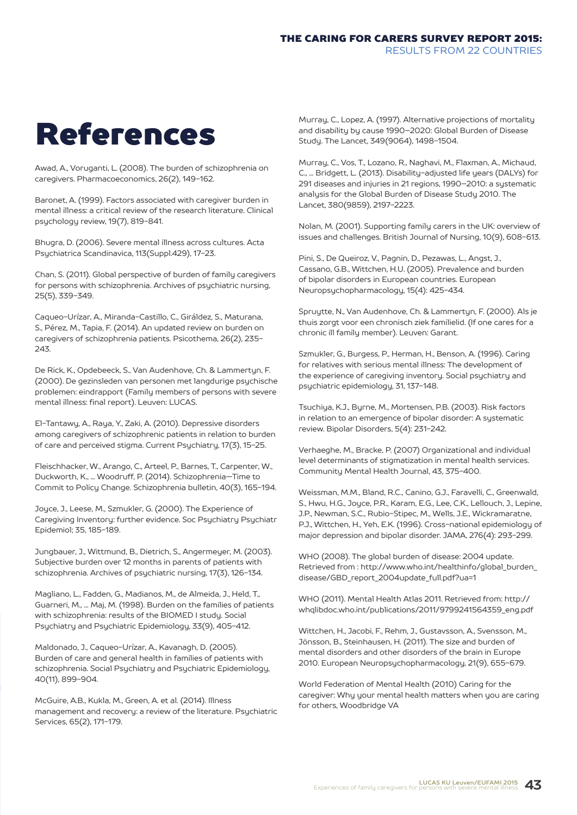# References

Awad, A., Voruganti, L. (2008). The burden of schizophrenia on caregivers. Pharmacoeconomics, 26(2), 149-162.

Baronet, A. (1999). Factors associated with caregiver burden in mental illness: a critical review of the research literature. Clinical psychology review, 19(7), 819-841.

Bhugra, D. (2006). Severe mental illness across cultures. Acta Psychiatrica Scandinavica, 113(Suppl.429), 17-23.

Chan, S. (2011). Global perspective of burden of family caregivers for persons with schizophrenia. Archives of psychiatric nursing, 25(5), 339-349.

Caqueo-Urízar, A., Miranda-Castillo, C., Giráldez, S., Maturana, S., Pérez, M., Tapia, F. (2014). An updated review on burden on caregivers of schizophrenia patients. Psicothema, 26(2), 235- 243.

De Rick, K., Opdebeeck, S., Van Audenhove, Ch. & Lammertyn, F. (2000). De gezinsleden van personen met langdurige psychische problemen: eindrapport (Family members of persons with severe mental illness: final report). Leuven: LUCAS.

El-Tantawy, A., Raya, Y., Zaki, A. (2010). Depressive disorders among caregivers of schizophrenic patients in relation to burden of care and perceived stigma. Current Psychiatry, 17(3), 15-25.

Fleischhacker, W., Arango, C., Arteel, P., Barnes, T., Carpenter, W., Duckworth, K., ... Woodruff, P. (2014). Schizophrenia—Time to Commit to Policy Change. Schizophrenia bulletin, 40(3), 165-194.

Joyce, J., Leese, M., Szmukler, G. (2000). The Experience of Caregiving Inventory: further evidence. Soc Psychiatry Psychiatr Epidemiol; 35, 185-189.

Jungbauer, J., Wittmund, B., Dietrich, S., Angermeyer, M. (2003). Subjective burden over 12 months in parents of patients with schizophrenia. Archives of psychiatric nursing, 17(3), 126-134.

Magliano, L., Fadden, G., Madianos, M., de Almeida, J., Held, T., Guarneri, M., ... Maj, M. (1998). Burden on the families of patients with schizophrenia: results of the BIOMED I study. Social Psychiatry and Psychiatric Epidemiology, 33(9), 405-412.

Maldonado, J., Caqueo-Urízar, A., Kavanagh, D. (2005). Burden of care and general health in families of patients with schizophrenia. Social Psychiatry and Psychiatric Epidemiology, 40(11), 899-904.

McGuire, A.B., Kukla, M., Green, A. et al. (2014). Illness management and recovery: a review of the literature. Psychiatric Services, 65(2), 171-179.

Murray, C., Lopez, A. (1997). Alternative projections of mortality and disability by cause 1990–2020: Global Burden of Disease Study. The Lancet, 349(9064), 1498-1504.

Murray, C., Vos, T., Lozano, R., Naghavi, M., Flaxman, A., Michaud, C., ... Bridgett, L. (2013). Disability-adjusted life years (DALYs) for 291 diseases and injuries in 21 regions, 1990–2010: a systematic analysis for the Global Burden of Disease Study 2010. The Lancet, 380(9859), 2197-2223.

Nolan, M. (2001). Supporting family carers in the UK: overview of issues and challenges. British Journal of Nursing, 10(9), 608-613.

Pini, S., De Queiroz, V., Pagnin, D., Pezawas, L., Angst, J., Cassano, G.B., Wittchen, H.U. (2005). Prevalence and burden of bipolar disorders in European countries. European Neuropsychopharmacology, 15(4): 425-434.

Spruytte, N., Van Audenhove, Ch. & Lammertyn, F. (2000). Als je thuis zorgt voor een chronisch ziek familielid. (If one cares for a chronic ill family member). Leuven: Garant.

Szmukler, G., Burgess, P., Herman, H., Benson, A. (1996). Caring for relatives with serious mental illness: The development of the experience of caregiving inventory. Social psychiatry and psychiatric epidemiology, 31, 137-148.

Tsuchiya, K.J., Byrne, M., Mortensen, P.B. (2003). Risk factors in relation to an emergence of bipolar disorder: A systematic review. Bipolar Disorders, 5(4): 231-242.

Verhaeghe, M., Bracke, P. (2007) Organizational and individual level determinants of stigmatization in mental health services. Community Mental Health Journal, 43, 375-400.

Weissman, M.M., Bland, R.C., Canino, G.J., Faravelli, C., Greenwald, S., Hwu, H.G., Joyce, P.R., Karam, E.G., Lee, C.K., Lellouch, J., Lepine, J.P., Newman, S.C., Rubio-Stipec, M., Wells, J.E., Wickramaratne, P.J., Wittchen, H., Yeh, E.K. (1996). Cross-national epidemiology of major depression and bipolar disorder. JAMA, 276(4): 293-299.

WHO (2008). The global burden of disease: 2004 update. Retrieved from : http://www.who.int/healthinfo/global\_burden\_ disease/GBD\_report\_2004update\_full.pdf?ua=1

WHO (2011). Mental Health Atlas 2011. Retrieved from: http:// whqlibdoc.who.int/publications/2011/9799241564359\_eng.pdf

Wittchen, H., Jacobi, F., Rehm, J., Gustavsson, A., Svensson, M., Jönsson, B., Steinhausen, H. (2011). The size and burden of mental disorders and other disorders of the brain in Europe 2010. European Neuropsychopharmacology, 21(9), 655-679.

World Federation of Mental Health (2010) Caring for the caregiver: Why your mental health matters when you are caring for others, Woodbridge VA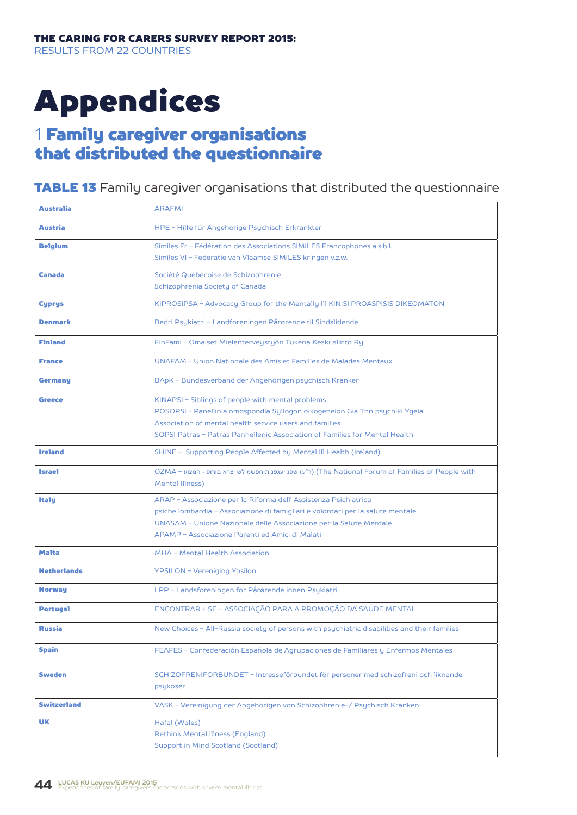# Appendices

# 1 Family caregiver organisations that distributed the questionnaire

## **TABLE 13** Family caregiver organisations that distributed the questionnaire

| <b>Australia</b>   | <b>ARAFMI</b>                                                                                                                                         |
|--------------------|-------------------------------------------------------------------------------------------------------------------------------------------------------|
| <b>Austria</b>     | HPE - Hilfe für Angehörige Psychisch Erkrankter                                                                                                       |
| <b>Belgium</b>     | Similes Fr - Fédération des Associations SIMILES Francophones a.s.b.l.                                                                                |
|                    | Similes VI - Federatie van Vlaamse SIMILES kringen v.z.w.                                                                                             |
| <b>Canada</b>      | Société Québécoise de Schizophrenie                                                                                                                   |
|                    | Schizophrenia Society of Canada                                                                                                                       |
| <b>Cyprys</b>      | KIPROSIPSA - Advocacy Group for the Mentally III KINISI PROASPISIS DIKEOMATON                                                                         |
| <b>Denmark</b>     | Bedri Psykiatri - Landforeningen Pårørende til Sindslidende                                                                                           |
| <b>Finland</b>     | FinFami - Omaiset Mielenterveystyön Tukena Keskusliitto Ry                                                                                            |
| <b>France</b>      | UNAFAM - Union Nationale des Amis et Familles de Malades Mentaux                                                                                      |
| Germany            | BApK - Bundesverband der Angehörigen psychisch Kranker                                                                                                |
| Greece             | KINAPSI - Siblings of people with mental problems                                                                                                     |
|                    | POSOPSI - Panellinia omospondia Syllogon oikogeneion Gia Thn psychiki Ygeia                                                                           |
|                    | Association of mental health service users and families                                                                                               |
|                    | SOPSI Patras - Patras Panhellenic Association of Families for Mental Health                                                                           |
| <b>Ireland</b>     | SHINE - Supporting People Affected by Mental III Health (Ireland)                                                                                     |
| <b>Israel</b>      | OZMA - היש איצרא םורופ - המצוע (The National Forum of Families of People with) (ר"ע) שפנ יעגפנ תוחפשמ לש יצרא םורופ<br>Mental Illness)                |
|                    |                                                                                                                                                       |
| <b>Italy</b>       | ARAP - Associazione per la Riforma dell' Assistenza Psichiatrica                                                                                      |
|                    | psiche lombardia - Associazione di famigliari e volontari per la salute mentale<br>UNASAM - Unione Nazionale delle Associazione per la Salute Mentale |
|                    | APAMP - Associazione Parenti ed Amici di Malati                                                                                                       |
|                    |                                                                                                                                                       |
| Malta              | MHA - Mental Health Association                                                                                                                       |
| <b>Netherlands</b> | YPSILON - Vereniging Ypsilon                                                                                                                          |
| <b>Norway</b>      | LPP - Landsforeningen for Pårørende innen Psykiatri                                                                                                   |
| <b>Portugal</b>    | ENCONTRAR + SE - ASSOCIAÇÃO PARA A PROMOÇÃO DA SAÚDE MENTAL                                                                                           |
| <b>Russia</b>      | New Choices - All-Russia society of persons with psychiatric disabilities and their families                                                          |
| <b>Spain</b>       | FEAFES - Confederación Española de Agrupaciones de Familiares y Enfermos Mentales                                                                     |
| <b>Sweden</b>      | SCHIZOFRENIFORBUNDET - Intresseförbundet för personer med schizofreni och liknande                                                                    |
|                    | psykoser                                                                                                                                              |
| Switzerland        | VASK - Vereinigung der Angehörigen von Schizophrenie-/ Psychisch Kranken                                                                              |
| UK                 | Hafal (Wales)                                                                                                                                         |
|                    | Rethink Mental Illness (England)                                                                                                                      |
|                    | Support in Mind Scotland (Scotland)                                                                                                                   |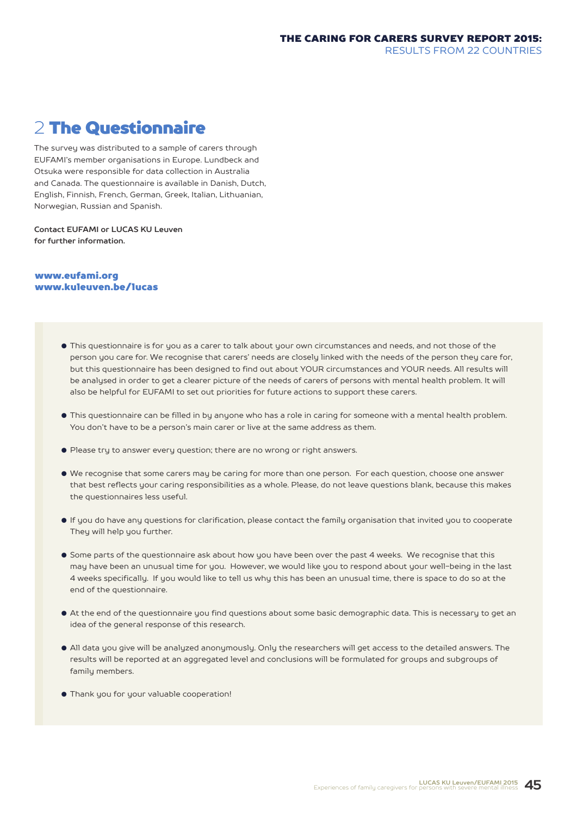# 2 The Questionnaire

The survey was distributed to a sample of carers through EUFAMI's member organisations in Europe. Lundbeck and Otsuka were responsible for data collection in Australia and Canada. The questionnaire is available in Danish, Dutch, English, Finnish, French, German, Greek, Italian, Lithuanian, Norwegian, Russian and Spanish.

**Contact EUFAMI or LUCAS KU Leuven for further information.**

#### www.eufami.org www.kuleuven.be/lucas

- This questionnaire is for you as a carer to talk about your own circumstances and needs, and not those of the person you care for. We recognise that carers' needs are closely linked with the needs of the person they care for, but this questionnaire has been designed to find out about YOUR circumstances and YOUR needs. All results will be analysed in order to get a clearer picture of the needs of carers of persons with mental health problem. It will also be helpful for EUFAMI to set out priorities for future actions to support these carers.
- This questionnaire can be filled in by anyone who has a role in caring for someone with a mental health problem. You don't have to be a person's main carer or live at the same address as them.
- Please try to answer every question; there are no wrong or right answers.
- We recognise that some carers may be caring for more than one person. For each question, choose one answer that best reflects your caring responsibilities as a whole. Please, do not leave questions blank, because this makes the questionnaires less useful.
- If you do have any questions for clarification, please contact the family organisation that invited you to cooperate They will help you further.
- Some parts of the questionnaire ask about how you have been over the past 4 weeks. We recognise that this may have been an unusual time for you. However, we would like you to respond about your well-being in the last 4 weeks specifically. If you would like to tell us why this has been an unusual time, there is space to do so at the end of the questionnaire.
- At the end of the questionnaire you find questions about some basic demographic data. This is necessary to get an idea of the general response of this research.
- All data you give will be analyzed anonymously. Only the researchers will get access to the detailed answers. The results will be reported at an aggregated level and conclusions will be formulated for groups and subgroups of family members.
- Thank you for your valuable cooperation!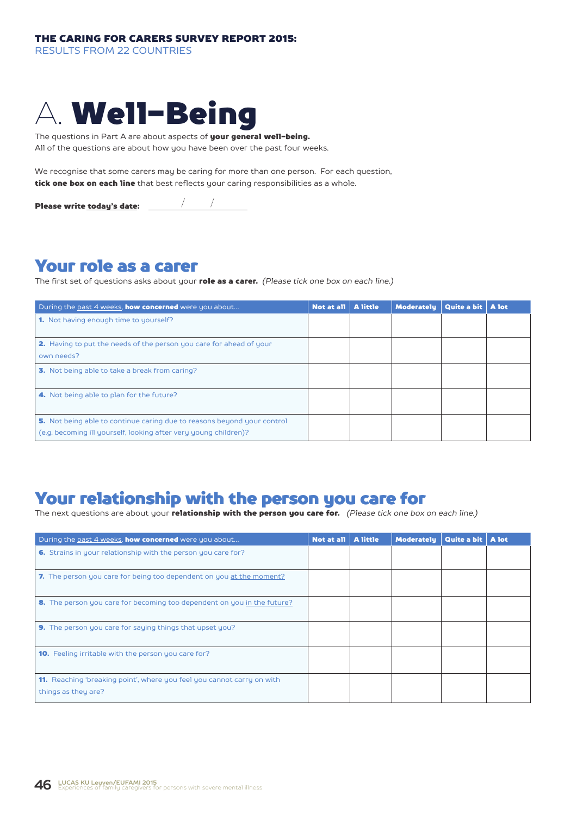RESULTS FROM 22 COUNTRIES



The questions in Part A are about aspects of your general well-being.

All of the questions are about how you have been over the past four weeks.

We recognise that some carers may be caring for more than one person. For each question, tick one box on each line that best reflects your caring responsibilities as a whole.

Please write today's date:

# Your role as a carer

The first set of questions asks about your role as a carer. *(Please tick one box on each line.)*

| During the past 4 weeks, <b>how concerned</b> were you about                                                                                | Not at all   A little | <b>Moderately</b> | Quite a bit   A lot |  |
|---------------------------------------------------------------------------------------------------------------------------------------------|-----------------------|-------------------|---------------------|--|
| <b>1.</b> Not having enough time to yourself?                                                                                               |                       |                   |                     |  |
| <b>2.</b> Having to put the needs of the person you care for ahead of your<br>own needs?                                                    |                       |                   |                     |  |
| 3. Not being able to take a break from caring?                                                                                              |                       |                   |                     |  |
| 4. Not being able to plan for the future?                                                                                                   |                       |                   |                     |  |
| 5. Not being able to continue caring due to reasons beyond your control<br>(e.g. becoming ill yourself, looking after very young children)? |                       |                   |                     |  |

# Your relationship with the person you care for

The next questions are about your relationship with the person you care for. *(Please tick one box on each line.)*

| During the past 4 weeks, how concerned were you about                                         | Not at all | A little | <b>Moderately</b> | Quite a bit   A lot |  |
|-----------------------------------------------------------------------------------------------|------------|----------|-------------------|---------------------|--|
| 6. Strains in your relationship with the person you care for?                                 |            |          |                   |                     |  |
| 7. The person you care for being too dependent on you at the moment?                          |            |          |                   |                     |  |
| 8. The person you care for becoming too dependent on you in the future?                       |            |          |                   |                     |  |
| 9. The person you care for saying things that upset you?                                      |            |          |                   |                     |  |
| <b>10.</b> Feeling irritable with the person you care for?                                    |            |          |                   |                     |  |
| 11. Reaching 'breaking point', where you feel you cannot carry on with<br>things as they are? |            |          |                   |                     |  |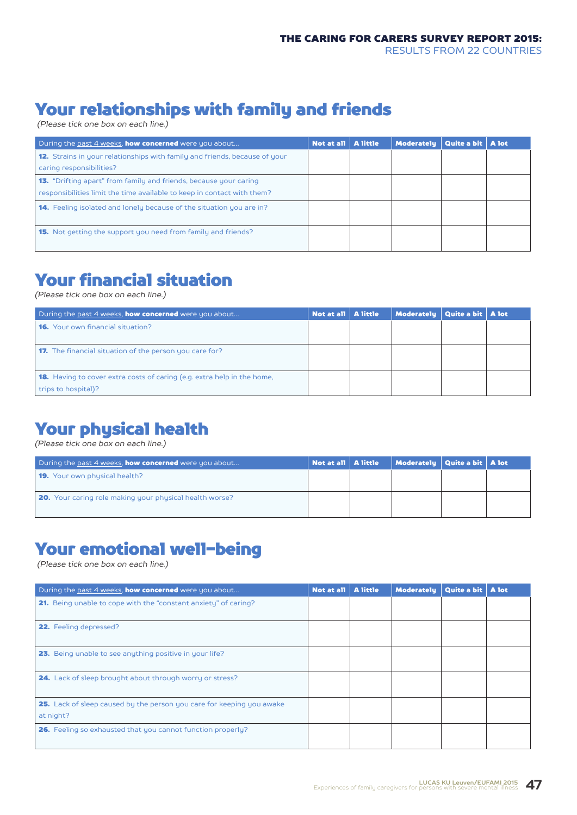# Your relationships with family and friends

*(Please tick one box on each line.)*

| During the past 4 weeks, <b>how concerned</b> were you about                      | Not at all   A little | <b>Moderately</b> | Quite a bit   A lot |  |
|-----------------------------------------------------------------------------------|-----------------------|-------------------|---------------------|--|
| <b>12.</b> Strains in your relationships with family and friends, because of your |                       |                   |                     |  |
| caring responsibilities?                                                          |                       |                   |                     |  |
| <b>13.</b> "Drifting apart" from family and friends, because your caring          |                       |                   |                     |  |
| responsibilities limit the time available to keep in contact with them?           |                       |                   |                     |  |
| <b>14.</b> Feeling isolated and lonely because of the situation you are in?       |                       |                   |                     |  |
| <b>15.</b> Not getting the support you need from family and friends?              |                       |                   |                     |  |

# Your financial situation

*(Please tick one box on each line.)*

| During the past 4 weeks, <b>how concerned</b> were you about                   | Not at all   A little | Moderately   Quite a bit   A lot |  |
|--------------------------------------------------------------------------------|-----------------------|----------------------------------|--|
| <b>16.</b> Your own financial situation?                                       |                       |                                  |  |
|                                                                                |                       |                                  |  |
| <b>17.</b> The financial situation of the person you care for?                 |                       |                                  |  |
|                                                                                |                       |                                  |  |
| <b>18.</b> Having to cover extra costs of caring (e.g. extra help in the home, |                       |                                  |  |
| trips to hospital)?                                                            |                       |                                  |  |

# Your physical health

*(Please tick one box on each line.)*

| During the past 4 weeks, <b>how concerned</b> were you about   | Not at all   A little | $\parallel$ Moderately $\parallel$ Quite a bit $\parallel$ A lot $\parallel$ |  |
|----------------------------------------------------------------|-----------------------|------------------------------------------------------------------------------|--|
| <b>19.</b> Your own physical health?                           |                       |                                                                              |  |
| <b>20.</b> Your caring role making your physical health worse? |                       |                                                                              |  |

# Your emotional well-being

*(Please tick one box on each line.)*

| During the past 4 weeks, how concerned were you about                                     | Not at all   A little | <b>Moderately</b> | Quite a bit   A lot |  |
|-------------------------------------------------------------------------------------------|-----------------------|-------------------|---------------------|--|
| 21. Being unable to cope with the "constant anxiety" of caring?                           |                       |                   |                     |  |
| <b>22.</b> Feeling depressed?                                                             |                       |                   |                     |  |
| 23. Being unable to see anything positive in your life?                                   |                       |                   |                     |  |
| <b>24.</b> Lack of sleep brought about through worry or stress?                           |                       |                   |                     |  |
| <b>25.</b> Lack of sleep caused by the person you care for keeping you awake<br>at night? |                       |                   |                     |  |
| 26. Feeling so exhausted that you cannot function properly?                               |                       |                   |                     |  |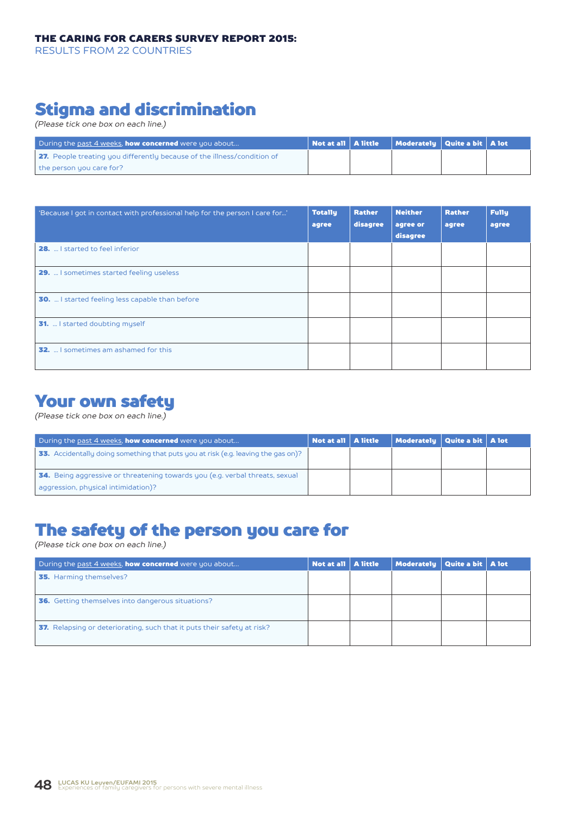RESULTS FROM 22 COUNTRIES

# Stigma and discrimination

*(Please tick one box on each line.)*

| During the past 4 weeks, <b>how concerned</b> were you about                   |  | $\vert$ Not at all $\vert$ A little $\vert$ Moderately $\vert$ Quite a bit $\vert$ A lot |  |
|--------------------------------------------------------------------------------|--|------------------------------------------------------------------------------------------|--|
| <b>27.</b> People treating you differently because of the illness/condition of |  |                                                                                          |  |
| the person you care for?                                                       |  |                                                                                          |  |

| 'Because I got in contact with professional help for the person I care for' | <b>Totally</b><br>agree | <b>Rather</b><br>disagree | <b>Neither</b><br>agree or<br>disagree | <b>Rather</b><br>agree | <b>Fully</b><br>agree |
|-----------------------------------------------------------------------------|-------------------------|---------------------------|----------------------------------------|------------------------|-----------------------|
| <b>28.</b> I started to feel inferior                                       |                         |                           |                                        |                        |                       |
| <b>29.</b> I sometimes started feeling useless                              |                         |                           |                                        |                        |                       |
| <b>30.</b> I started feeling less capable than before                       |                         |                           |                                        |                        |                       |
| <b>31.</b> I started doubting myself                                        |                         |                           |                                        |                        |                       |
| <b>32.</b> I sometimes am ashamed for this                                  |                         |                           |                                        |                        |                       |

# Your own safety

*(Please tick one box on each line.)*

| During the past 4 weeks, <b>how concerned</b> were you about                                                               |  | Not at all   A little | Moderately   Quite a bit   A lot |  |
|----------------------------------------------------------------------------------------------------------------------------|--|-----------------------|----------------------------------|--|
| <b>33.</b> Accidentally doing something that puts you at risk (e.g. leaving the gas on)?                                   |  |                       |                                  |  |
| <b>34.</b> Being aggressive or threatening towards you (e.g. verbal threats, sexual<br>aggression, physical intimidation)? |  |                       |                                  |  |

# The safety of the person you care for

*(Please tick one box on each line.)*

| During the <u>past 4 weeks</u> , <b>how concerned</b> were you about           | Not at all   A little | Moderately Quite a bit   A lot |  |
|--------------------------------------------------------------------------------|-----------------------|--------------------------------|--|
| <b>35.</b> Harming themselves?                                                 |                       |                                |  |
| <b>36.</b> Getting themselves into dangerous situations?                       |                       |                                |  |
| <b>37.</b> Relapsing or deteriorating, such that it puts their safety at risk? |                       |                                |  |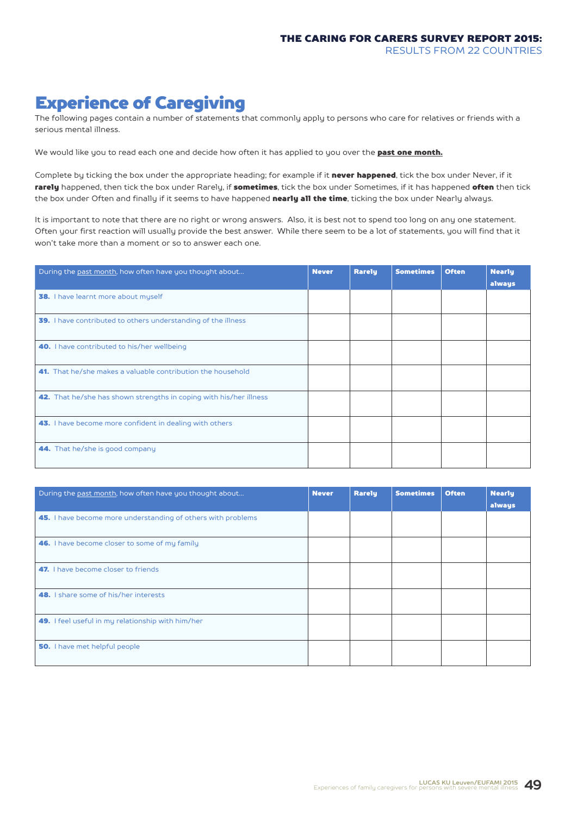# Experience of Caregiving

The following pages contain a number of statements that commonly apply to persons who care for relatives or friends with a serious mental illness.

We would like you to read each one and decide how often it has applied to you over the **past one month.** 

Complete by ticking the box under the appropriate heading; for example if it never happened, tick the box under Never, if it rarely happened, then tick the box under Rarely, if sometimes, tick the box under Sometimes, if it has happened often then tick the box under Often and finally if it seems to have happened nearly all the time, ticking the box under Nearly always.

It is important to note that there are no right or wrong answers. Also, it is best not to spend too long on any one statement. Often your first reaction will usually provide the best answer. While there seem to be a lot of statements, you will find that it won't take more than a moment or so to answer each one.

| During the past month, how often have you thought about            | <b>Never</b> | <b>Rarely</b> | <b>Sometimes</b> | <b>Often</b> | <b>Nearly</b><br>always |
|--------------------------------------------------------------------|--------------|---------------|------------------|--------------|-------------------------|
| 38. I have learnt more about myself                                |              |               |                  |              |                         |
| 39. I have contributed to others understanding of the illness      |              |               |                  |              |                         |
| 40. I have contributed to his/her wellbeing                        |              |               |                  |              |                         |
| <b>41.</b> That he/she makes a valuable contribution the household |              |               |                  |              |                         |
| 42. That he/she has shown strengths in coping with his/her illness |              |               |                  |              |                         |
| 43. I have become more confident in dealing with others            |              |               |                  |              |                         |
| 44. That he/she is good company                                    |              |               |                  |              |                         |

| During the past month, how often have you thought about      | <b>Never</b> | Rarely | <b>Sometimes</b> | <b>Often</b> | <b>Nearly</b><br>always |
|--------------------------------------------------------------|--------------|--------|------------------|--------------|-------------------------|
| 45. I have become more understanding of others with problems |              |        |                  |              |                         |
| 46. I have become closer to some of my family                |              |        |                  |              |                         |
| 47. I have become closer to friends                          |              |        |                  |              |                         |
| <b>48.</b> I share some of his/her interests                 |              |        |                  |              |                         |
| 49. I feel useful in my relationship with him/her            |              |        |                  |              |                         |
| <b>50.</b> I have met helpful people                         |              |        |                  |              |                         |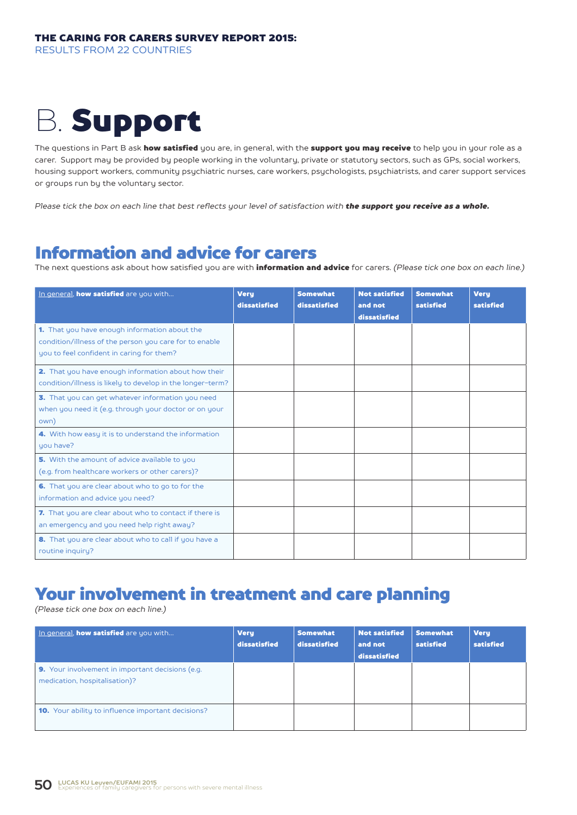# B. Support

The questions in Part B ask how satisfied you are, in general, with the support you may receive to help you in your role as a carer. Support may be provided by people working in the voluntary, private or statutory sectors, such as GPs, social workers, housing support workers, community psychiatric nurses, care workers, psychologists, psychiatrists, and carer support services or groups run by the voluntary sector.

*Please tick the box on each line that best reflects your level of satisfaction with the support you receive as a whole.*

# Information and advice for carers

The next questions ask about how satisfied you are with information and advice for carers. *(Please tick one box on each line.)*

| In general, how satisfied are you with                                                                                                               | <b>Very</b><br>dissatisfied | <b>Somewhat</b><br>dissatisfied | <b>Not satisfied</b><br>and not<br>dissatisfied | <b>Somewhat</b><br>satisfied | <b>Very</b><br>satisfied |
|------------------------------------------------------------------------------------------------------------------------------------------------------|-----------------------------|---------------------------------|-------------------------------------------------|------------------------------|--------------------------|
| 1. That you have enough information about the<br>condition/illness of the person you care for to enable<br>you to feel confident in caring for them? |                             |                                 |                                                 |                              |                          |
| 2. That you have enough information about how their<br>condition/illness is likely to develop in the longer-term?                                    |                             |                                 |                                                 |                              |                          |
| 3. That you can get whatever information you need<br>when you need it (e.g. through your doctor or on your<br>own)                                   |                             |                                 |                                                 |                              |                          |
| 4. With how easy it is to understand the information<br>you have?                                                                                    |                             |                                 |                                                 |                              |                          |
| 5. With the amount of advice available to you<br>(e.g. from healthcare workers or other carers)?                                                     |                             |                                 |                                                 |                              |                          |
| 6. That you are clear about who to go to for the<br>information and advice you need?                                                                 |                             |                                 |                                                 |                              |                          |
| 7. That you are clear about who to contact if there is<br>an emergency and you need help right away?                                                 |                             |                                 |                                                 |                              |                          |
| 8. That you are clear about who to call if you have a<br>routine inquiry?                                                                            |                             |                                 |                                                 |                              |                          |

# Your involvement in treatment and care planning

*(Please tick one box on each line.)*

| In general, <b>how satisfied</b> are you with                                            | <b>Very</b><br>dissatisfied | <b>Somewhat</b><br>dissatisfied | <b>Not satisfied</b><br>and not<br>dissatisfied | <b>Somewhat</b><br>satisfied | <b>Very</b><br>satisfied |
|------------------------------------------------------------------------------------------|-----------------------------|---------------------------------|-------------------------------------------------|------------------------------|--------------------------|
| <b>9.</b> Your involvement in important decisions (e.g.<br>medication, hospitalisation)? |                             |                                 |                                                 |                              |                          |
| <b>10.</b> Your ability to influence important decisions?                                |                             |                                 |                                                 |                              |                          |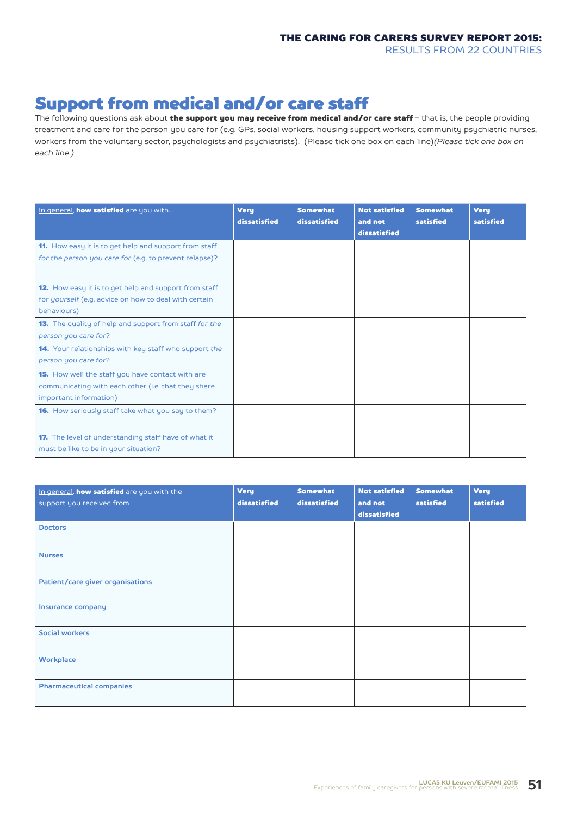# Support from medical and/or care staff

The following questions ask about the support you may receive from medical and/or care staff - that is, the people providing treatment and care for the person you care for (e.g. GPs, social workers, housing support workers, community psychiatric nurses, workers from the voluntary sector, psychologists and psychiatrists). (Please tick one box on each line)*(Please tick one box on each line.)*

| In general, how satisfied are you with                                                                                            | <b>Very</b><br>dissatisfied | <b>Somewhat</b><br>dissatisfied | <b>Not satisfied</b><br>and not<br>dissatisfied | <b>Somewhat</b><br>satisfied | <b>Very</b><br>satisfied |
|-----------------------------------------------------------------------------------------------------------------------------------|-----------------------------|---------------------------------|-------------------------------------------------|------------------------------|--------------------------|
| 11. How easy it is to get help and support from staff<br>for the person you care for (e.g. to prevent relapse)?                   |                             |                                 |                                                 |                              |                          |
| 12. How easy it is to get help and support from staff<br>for yourself (e.g. advice on how to deal with certain<br>behaviours)     |                             |                                 |                                                 |                              |                          |
| 13. The quality of help and support from staff for the<br>person you care for?                                                    |                             |                                 |                                                 |                              |                          |
| 14. Your relationships with key staff who support the<br>person you care for?                                                     |                             |                                 |                                                 |                              |                          |
| 15. How well the staff you have contact with are<br>communicating with each other (i.e. that they share<br>important information) |                             |                                 |                                                 |                              |                          |
| <b>16.</b> How seriously staff take what you say to them?                                                                         |                             |                                 |                                                 |                              |                          |
| <b>17.</b> The level of understanding staff have of what it<br>must be like to be in your situation?                              |                             |                                 |                                                 |                              |                          |

| In general, how satisfied are you with the<br>support you received from | <b>Very</b><br>dissatisfied | <b>Somewhat</b><br>dissatisfied | <b>Not satisfied</b><br>and not<br>dissatisfied | <b>Somewhat</b><br>satisfied | <b>Very</b><br>satisfied |
|-------------------------------------------------------------------------|-----------------------------|---------------------------------|-------------------------------------------------|------------------------------|--------------------------|
| <b>Doctors</b>                                                          |                             |                                 |                                                 |                              |                          |
| <b>Nurses</b>                                                           |                             |                                 |                                                 |                              |                          |
| Patient/care giver organisations                                        |                             |                                 |                                                 |                              |                          |
| Insurance company                                                       |                             |                                 |                                                 |                              |                          |
| <b>Social workers</b>                                                   |                             |                                 |                                                 |                              |                          |
| Workplace                                                               |                             |                                 |                                                 |                              |                          |
| <b>Pharmaceutical companies</b>                                         |                             |                                 |                                                 |                              |                          |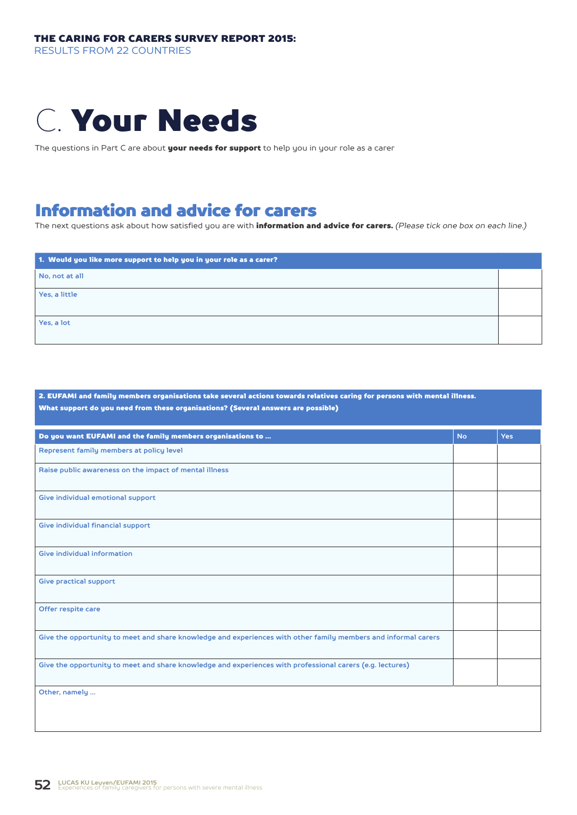

The questions in Part C are about your needs for support to help you in your role as a carer

# Information and advice for carers

The next questions ask about how satisfied you are with information and advice for carers. *(Please tick one box on each line.)*

| 1. Would you like more support to help you in your role as a carer? |  |
|---------------------------------------------------------------------|--|
| No, not at all                                                      |  |
| Yes, a little                                                       |  |
| Yes, a lot                                                          |  |
|                                                                     |  |

2. EUFAMI and family members organisations take several actions towards relatives caring for persons with mental illness. What support do you need from these organisations? (Several answers are possible)

| Do you want EUFAMI and the family members organisations to                                                     | <b>No</b> | <b>Yes</b> |
|----------------------------------------------------------------------------------------------------------------|-----------|------------|
| Represent family members at policy level                                                                       |           |            |
| Raise public awareness on the impact of mental illness                                                         |           |            |
| Give individual emotional support                                                                              |           |            |
| Give individual financial support                                                                              |           |            |
| Give individual information                                                                                    |           |            |
| Give practical support                                                                                         |           |            |
| Offer respite care                                                                                             |           |            |
| Give the opportunity to meet and share knowledge and experiences with other family members and informal carers |           |            |
| Give the opportunity to meet and share knowledge and experiences with professional carers (e.g. lectures)      |           |            |
| Other, namely                                                                                                  |           |            |
|                                                                                                                |           |            |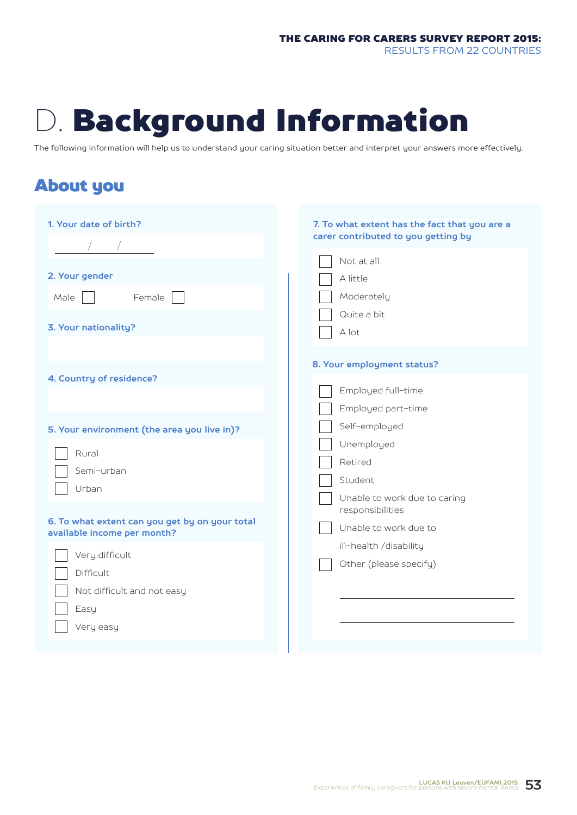# D. Background Information

The following information will help us to understand your caring situation better and interpret your answers more effectively.

# About you

| 1. Your date of birth?<br>2. Your gender<br>Female<br>Male<br>3. Your nationality?                                                                              | 7. To what extent has the fact that you are a<br>carer contributed to you getting by<br>Not at all<br>A little<br>Moderately<br>Quite a bit<br>A lot        |
|-----------------------------------------------------------------------------------------------------------------------------------------------------------------|-------------------------------------------------------------------------------------------------------------------------------------------------------------|
| 4. Country of residence?<br>5. Your environment (the area you live in)?<br>Rural<br>Semi-urban<br>Urban                                                         | 8. Your employment status?<br>Employed full-time<br>Employed part-time<br>Self-employed<br>Unemployed<br>Retired<br>Student<br>Unable to work due to caring |
| 6. To what extent can you get by on your total<br>available income per month?<br>Very difficult<br>Difficult<br>Not difficult and not easy<br>Easy<br>Very easy | responsibilities<br>Unable to work due to<br>ill-health /disability<br>Other (please specify)                                                               |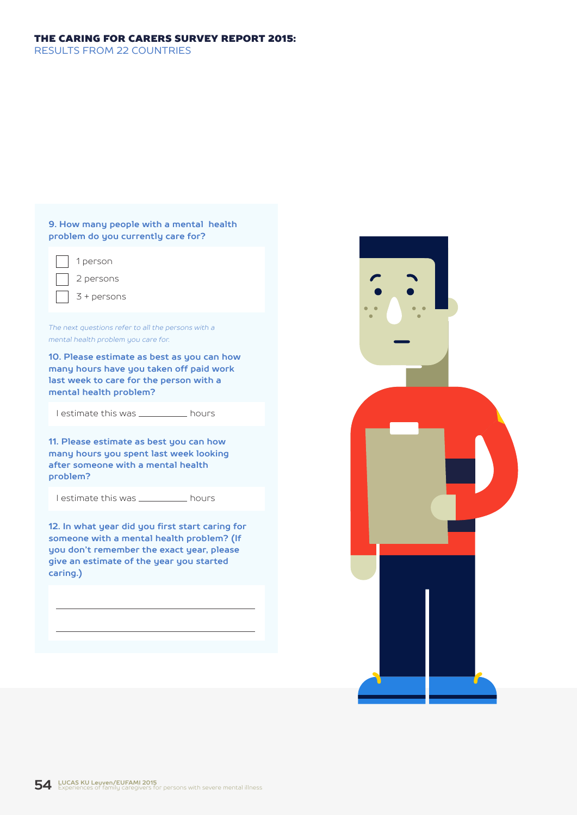### THE CARING FOR CARERS SURVEY REPORT 2015:

RESULTS FROM 22 COUNTRIES

#### **9. How many people with a mental health problem do you currently care for?**

1 person

2 persons

3 + persons

*The next questions refer to all the persons with a mental health problem you care for.*

**10. Please estimate as best as you can how many hours have you taken off paid work last week to care for the person with a mental health problem?**

I estimate this was \_\_\_\_\_\_\_\_\_\_\_ hours

**11. Please estimate as best you can how many hours you spent last week looking after someone with a mental health problem?**

I estimate this was \_\_\_\_\_\_\_\_\_\_ hours

**12. In what year did you first start caring for someone with a mental health problem? (If you don't remember the exact year, please give an estimate of the year you started caring.)**

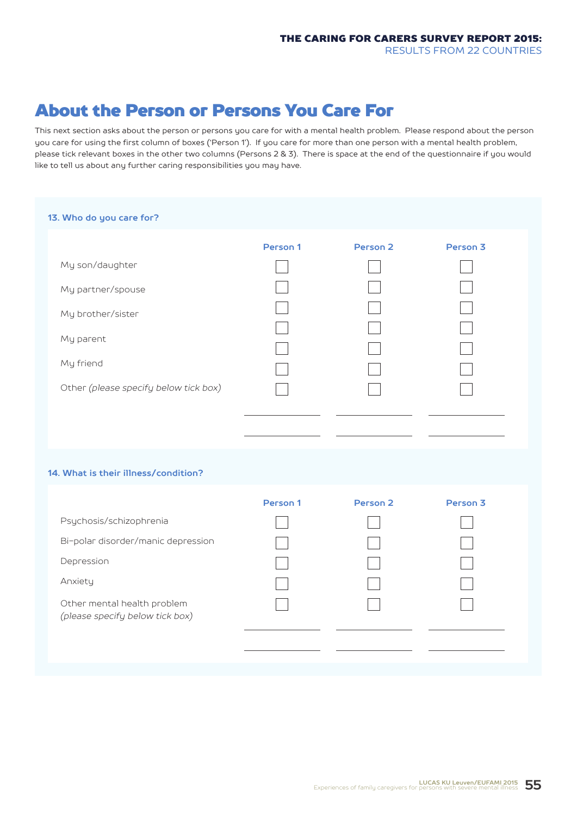# About the Person or Persons You Care For

This next section asks about the person or persons you care for with a mental health problem. Please respond about the person you care for using the first column of boxes ('Person 1'). If you care for more than one person with a mental health problem, please tick relevant boxes in the other two columns (Persons 2 & 3). There is space at the end of the questionnaire if you would like to tell us about any further caring responsibilities you may have.

#### **13. Who do you care for?**

|                                       | Person 1 | Person <sub>2</sub> | Person <sub>3</sub> |
|---------------------------------------|----------|---------------------|---------------------|
| My son/daughter                       |          |                     |                     |
| My partner/spouse                     |          |                     |                     |
| My brother/sister                     |          |                     |                     |
| My parent                             |          |                     |                     |
|                                       |          |                     |                     |
| My friend                             |          |                     |                     |
| Other (please specify below tick box) |          |                     |                     |
|                                       |          |                     |                     |
|                                       |          |                     |                     |

#### **14. What is their illness/condition?**

|                                                                | Person 1 | Person <sub>2</sub> | Person <sub>3</sub> |
|----------------------------------------------------------------|----------|---------------------|---------------------|
| Psychosis/schizophrenia                                        |          |                     |                     |
| Bi-polar disorder/manic depression                             |          |                     |                     |
| Depression                                                     |          |                     |                     |
| Anxiety                                                        |          |                     |                     |
| Other mental health problem<br>(please specify below tick box) |          |                     |                     |
|                                                                |          |                     |                     |
|                                                                |          |                     |                     |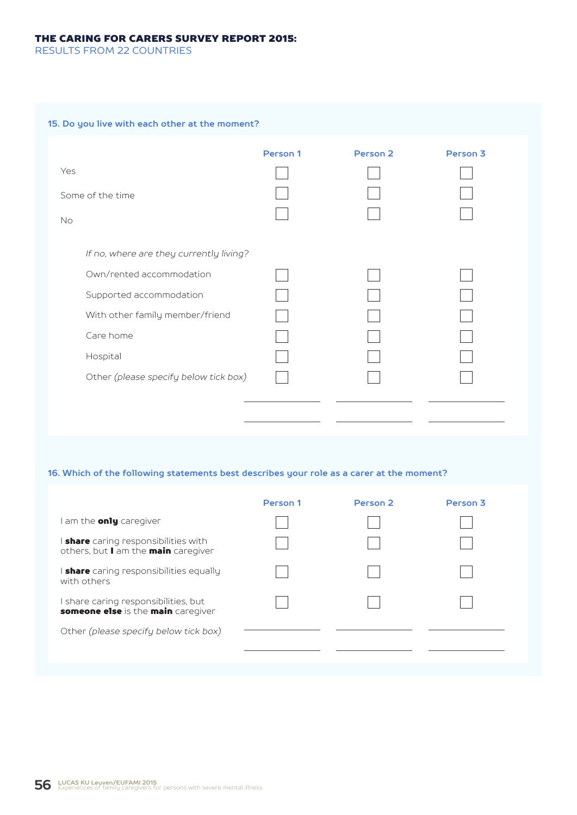#### THE CARING FOR CARERS SURVEY REPORT 2015:

RESULTS FROM 22 COUNTRIES

#### **15. Do you live with each other at the moment?**

|                                         | Person 1 | Person <sub>2</sub> | Person <sub>3</sub> |
|-----------------------------------------|----------|---------------------|---------------------|
| Yes                                     |          |                     |                     |
| Some of the time                        |          |                     |                     |
| <b>No</b>                               |          |                     |                     |
|                                         |          |                     |                     |
| If no, where are they currently living? |          |                     |                     |
| Own/rented accommodation                |          |                     |                     |
| Supported accommodation                 |          |                     |                     |
| With other family member/friend         |          |                     |                     |
| Care home                               |          |                     |                     |
| Hospital                                |          |                     |                     |
| Other (please specify below tick box)   |          |                     |                     |
|                                         |          |                     |                     |
|                                         |          |                     |                     |
|                                         |          |                     |                     |

#### **16. Which of the following statements best describes your role as a carer at the moment?**

|                                                                                  | Person 1 | Person <sub>2</sub> | Person 3 |
|----------------------------------------------------------------------------------|----------|---------------------|----------|
| am the <b>only</b> caregiver                                                     |          |                     |          |
| <b>share</b> caring responsibilities with<br>others, but I am the main caregiver |          |                     |          |
| <b>share</b> caring responsibilities equally<br>with others                      |          |                     |          |
| share caring responsibilities, but<br>someone else is the main caregiver         |          |                     |          |
| Other (please specify below tick box)                                            |          |                     |          |
|                                                                                  |          |                     |          |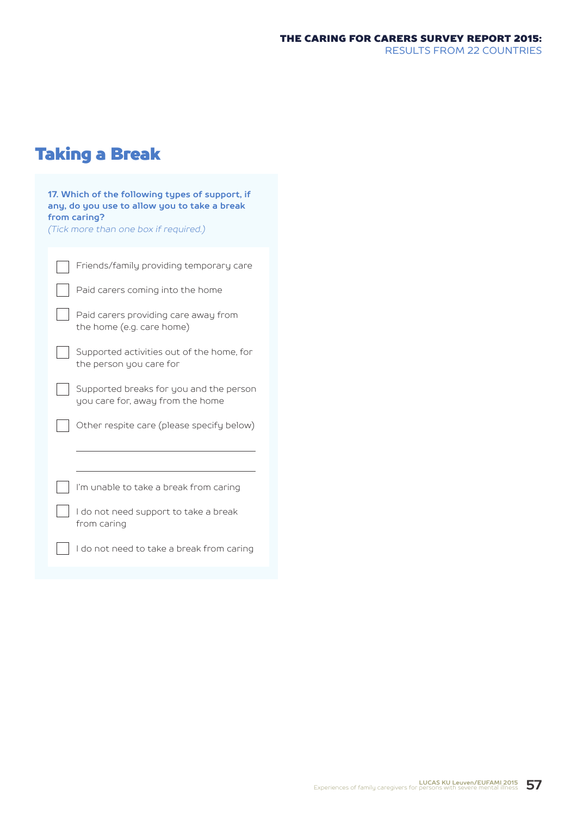# Taking a Break

| 17. Which of the following types of support, if<br>any, do you use to allow you to take a break<br>from caring?<br>(Tick more than one box if required.) |
|----------------------------------------------------------------------------------------------------------------------------------------------------------|
| Friends/family providing temporary care                                                                                                                  |
| Paid carers coming into the home                                                                                                                         |
| Paid carers providing care away from<br>the home (e.g. care home)                                                                                        |
| Supported activities out of the home, for<br>the person you care for                                                                                     |
| Supported breaks for you and the person<br>you care for, away from the home                                                                              |
| Other respite care (please specify below)                                                                                                                |
|                                                                                                                                                          |
| I'm unable to take a break from caring                                                                                                                   |
| I do not need support to take a break<br>from caring                                                                                                     |
| I do not need to take a break from caring                                                                                                                |